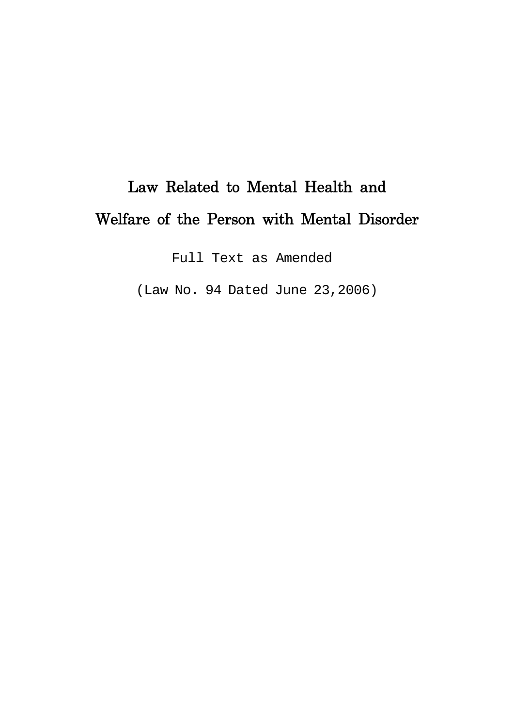# Law Related to Mental Health and Welfare of the Person with Mental Disorder

Full Text as Amended

(Law No. 94 Dated June 23,2006)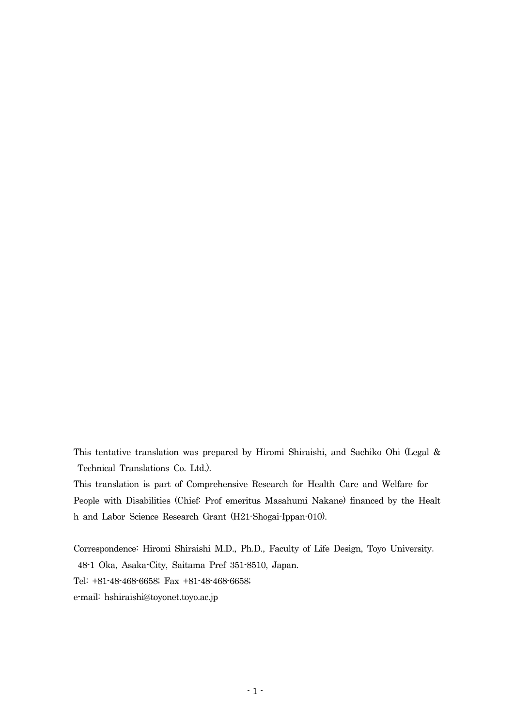This tentative translation was prepared by Hiromi Shiraishi, and Sachiko Ohi (Legal & Technical Translations Co. Ltd.).

This translation is part of Comprehensive Research for Health Care and Welfare for People with Disabilities (Chief: Prof emeritus Masahumi Nakane) financed by the Healt h and Labor Science Research Grant (H21-Shogai-Ippan-010).

Correspondence: Hiromi Shiraishi M.D., Ph.D., Faculty of Life Design, Toyo University. 48-1 Oka, Asaka-City, Saitama Pref 351-8510, Japan. Tel: +81-48-468-6658; Fax +81-48-468-6658; e-mail: hshiraishi@toyonet.toyo.ac.jp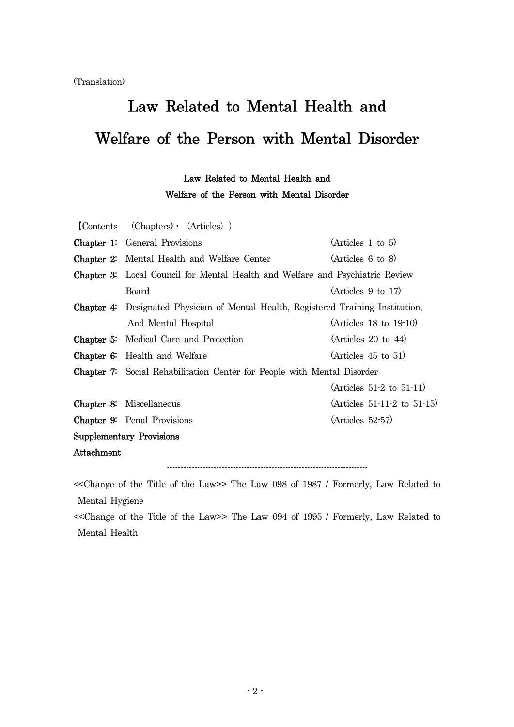# (Translation)

# Law Related to Mental Health and Welfare of the Person with Mental Disorder

# Law Related to Mental Health and Welfare of the Person with Mental Disorder

|                                 | (Contents (Chapters) • (Articles))                                                        |                                    |
|---------------------------------|-------------------------------------------------------------------------------------------|------------------------------------|
|                                 | <b>Chapter 1:</b> General Provisions                                                      | (Articles 1 to 5)                  |
|                                 | <b>Chapter 2:</b> Mental Health and Welfare Center                                        | (Articles 6 to 8)                  |
|                                 | <b>Chapter 3:</b> Local Council for Mental Health and Welfare and Psychiatric Review      |                                    |
|                                 | Board                                                                                     | (Articles 9 to 17)                 |
|                                 | <b>Chapter 4:</b> Designated Physician of Mental Health, Registered Training Institution, |                                    |
|                                 | And Mental Hospital                                                                       | (Articles $18 \text{ to } 19-10$ ) |
|                                 | <b>Chapter 5:</b> Medical Care and Protection                                             | (Articles 20 to $44$ )             |
| Chapter $6$                     | Health and Welfare                                                                        | (Articles $45$ to $51$ )           |
|                                 | Chapter 7: Social Rehabilitation Center for People with Mental Disorder                   |                                    |
|                                 |                                                                                           | (Articles $51-2$ to $51-11$ )      |
|                                 | <b>Chapter 8:</b> Miscellaneous                                                           | (Articles $51-11-2$ to $51-15$ )   |
|                                 | <b>Chapter 9:</b> Penal Provisions                                                        | $(Articles 52-57)$                 |
| <b>Supplementary Provisions</b> |                                                                                           |                                    |
| Attachment                      |                                                                                           |                                    |
|                                 |                                                                                           |                                    |

<<Change of the Title of the Law>> The Law 098 of 1987 / Formerly, Law Related to Mental Hygiene

<<Change of the Title of the Law>> The Law 094 of 1995 / Formerly, Law Related to Mental Health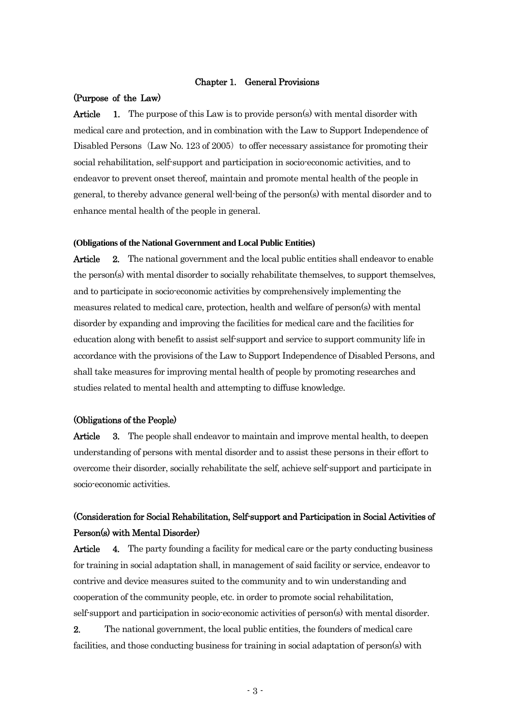# Chapter 1. General Provisions

# (Purpose of the Law)

**Article** 1. The purpose of this Law is to provide person(s) with mental disorder with medical care and protection, and in combination with the Law to Support Independence of Disabled Persons (Law No. 123 of 2005) to offer necessary assistance for promoting their social rehabilitation, self-support and participation in socio-economic activities, and to endeavor to prevent onset thereof, maintain and promote mental health of the people in general, to thereby advance general well-being of the person(s) with mental disorder and to enhance mental health of the people in general.

#### **(Obligations of the National Government and Local Public Entities)**

Article 2. The national government and the local public entities shall endeavor to enable the person(s) with mental disorder to socially rehabilitate themselves, to support themselves, and to participate in socio-economic activities by comprehensively implementing the measures related to medical care, protection, health and welfare of person(s) with mental disorder by expanding and improving the facilities for medical care and the facilities for education along with benefit to assist self-support and service to support community life in accordance with the provisions of the Law to Support Independence of Disabled Persons, and shall take measures for improving mental health of people by promoting researches and studies related to mental health and attempting to diffuse knowledge.

# (Obligations of the People)

Article 3. The people shall endeavor to maintain and improve mental health, to deepen understanding of persons with mental disorder and to assist these persons in their effort to overcome their disorder, socially rehabilitate the self, achieve self-support and participate in socio-economic activities.

# (Consideration for Social Rehabilitation, Self-support and Participation in Social Activities of Person(s) with Mental Disorder)

Article 4. The party founding a facility for medical care or the party conducting business for training in social adaptation shall, in management of said facility or service, endeavor to contrive and device measures suited to the community and to win understanding and cooperation of the community people, etc. in order to promote social rehabilitation, self-support and participation in socio-economic activities of person(s) with mental disorder.

2. The national government, the local public entities, the founders of medical care facilities, and those conducting business for training in social adaptation of person(s) with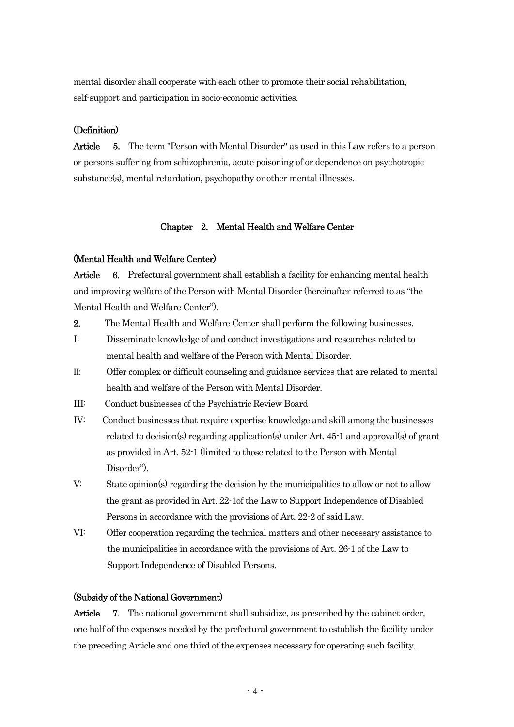mental disorder shall cooperate with each other to promote their social rehabilitation, self-support and participation in socio-economic activities.

# (Definition)

Article 5. The term "Person with Mental Disorder" as used in this Law refers to a person or persons suffering from schizophrenia, acute poisoning of or dependence on psychotropic substance(s), mental retardation, psychopathy or other mental illnesses.

# Chapter 2. Mental Health and Welfare Center

# (Mental Health and Welfare Center)

Article 6. Prefectural government shall establish a facility for enhancing mental health and improving welfare of the Person with Mental Disorder (hereinafter referred to as "the Mental Health and Welfare Center").

- 2. The Mental Health and Welfare Center shall perform the following businesses.
- I: Disseminate knowledge of and conduct investigations and researches related to mental health and welfare of the Person with Mental Disorder.
- II: Offer complex or difficult counseling and guidance services that are related to mental health and welfare of the Person with Mental Disorder.
- III: Conduct businesses of the Psychiatric Review Board
- IV: Conduct businesses that require expertise knowledge and skill among the businesses related to decision(s) regarding application(s) under Art. 45-1 and approval(s) of grant as provided in Art. 52-1 (limited to those related to the Person with Mental Disorder").
- V: State opinion(s) regarding the decision by the municipalities to allow or not to allow the grant as provided in Art. 22-1of the Law to Support Independence of Disabled Persons in accordance with the provisions of Art. 22-2 of said Law.
- VI: Offer cooperation regarding the technical matters and other necessary assistance to the municipalities in accordance with the provisions of Art. 26-1 of the Law to Support Independence of Disabled Persons.

# (Subsidy of the National Government)

Article 7. The national government shall subsidize, as prescribed by the cabinet order, one half of the expenses needed by the prefectural government to establish the facility under the preceding Article and one third of the expenses necessary for operating such facility.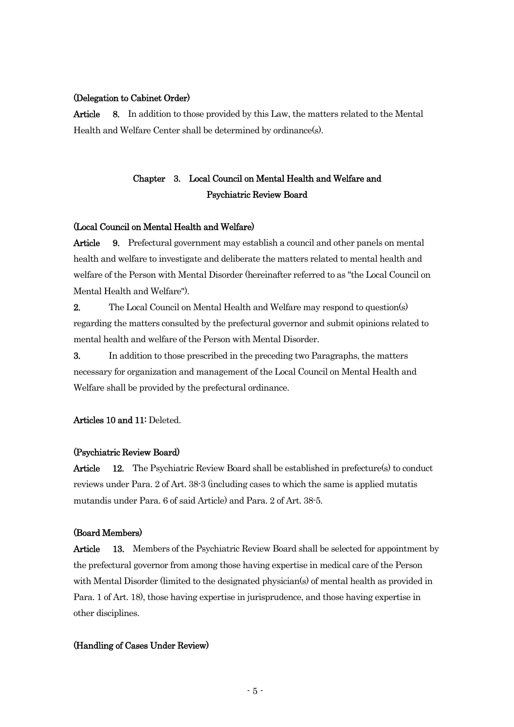# (Delegation to Cabinet Order)

Article 8. In addition to those provided by this Law, the matters related to the Mental Health and Welfare Center shall be determined by ordinance(s).

# Chapter 3. Local Council on Mental Health and Welfare and Psychiatric Review Board

## (Local Council on Mental Health and Welfare)

Article 9. Prefectural government may establish a council and other panels on mental health and welfare to investigate and deliberate the matters related to mental health and welfare of the Person with Mental Disorder (hereinafter referred to as "the Local Council on Mental Health and Welfare").

2. The Local Council on Mental Health and Welfare may respond to question(s) regarding the matters consulted by the prefectural governor and submit opinions related to mental health and welfare of the Person with Mental Disorder.

3. In addition to those prescribed in the preceding two Paragraphs, the matters necessary for organization and management of the Local Council on Mental Health and Welfare shall be provided by the prefectural ordinance.

Articles 10 and 11: Deleted.

# (Psychiatric Review Board)

Article 12. The Psychiatric Review Board shall be established in prefecture(s) to conduct reviews under Para. 2 of Art. 38-3 (including cases to which the same is applied mutatis mutandis under Para. 6 of said Article) and Para. 2 of Art. 38-5.

# (Board Members)

Article 13. Members of the Psychiatric Review Board shall be selected for appointment by the prefectural governor from among those having expertise in medical care of the Person with Mental Disorder (limited to the designated physician(s) of mental health as provided in Para. 1 of Art. 18), those having expertise in jurisprudence, and those having expertise in other disciplines.

# (Handling of Cases Under Review)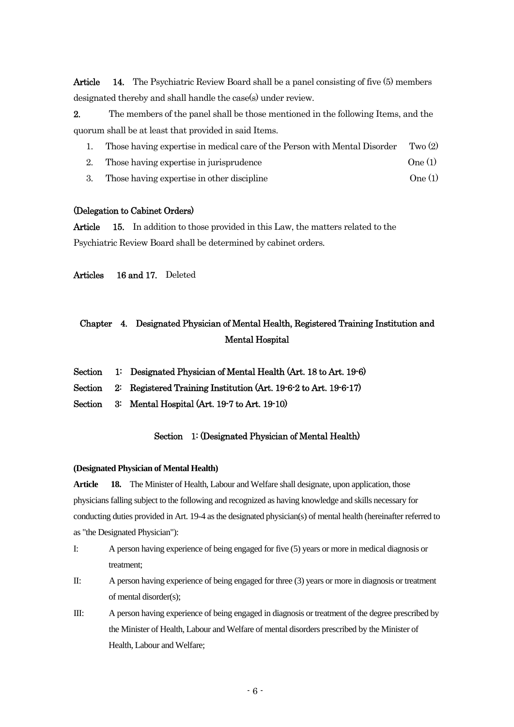Article 14. The Psychiatric Review Board shall be a panel consisting of five (5) members designated thereby and shall handle the case(s) under review.

2. The members of the panel shall be those mentioned in the following Items, and the quorum shall be at least that provided in said Items.

- 1. Those having expertise in medical care of the Person with Mental Disorder Two (2)
- 2. Those having expertise in jurisprudence  $\qquad \qquad \text{One (1)}$
- 3. Those having expertise in other discipline One (1)

# (Delegation to Cabinet Orders)

Article 15. In addition to those provided in this Law, the matters related to the Psychiatric Review Board shall be determined by cabinet orders.

Articles 16 and 17. Deleted

# Chapter 4. Designated Physician of Mental Health, Registered Training Institution and Mental Hospital

- Section 1: Designated Physician of Mental Health (Art. 18 to Art. 19-6)
- Section 2: Registered Training Institution (Art. 19-6-2 to Art. 19-6-17)
- Section 3: Mental Hospital (Art. 19-7 to Art. 19-10)

# Section 1: (Designated Physician of Mental Health)

# **(Designated Physician of Mental Health)**

**Article 18.** The Minister of Health, Labour and Welfare shall designate, upon application, those physicians falling subject to the following and recognized as having knowledge and skills necessary for conducting duties provided in Art. 19-4 as the designated physician(s) of mental health (hereinafter referred to as "the Designated Physician"):

- I: A person having experience of being engaged for five (5) years or more in medical diagnosis or treatment;
- II: A person having experience of being engaged for three (3) years or more in diagnosis or treatment of mental disorder(s);
- III: A person having experience of being engaged in diagnosis or treatment of the degree prescribed by the Minister of Health, Labour and Welfare of mental disorders prescribed by the Minister of Health, Labour and Welfare;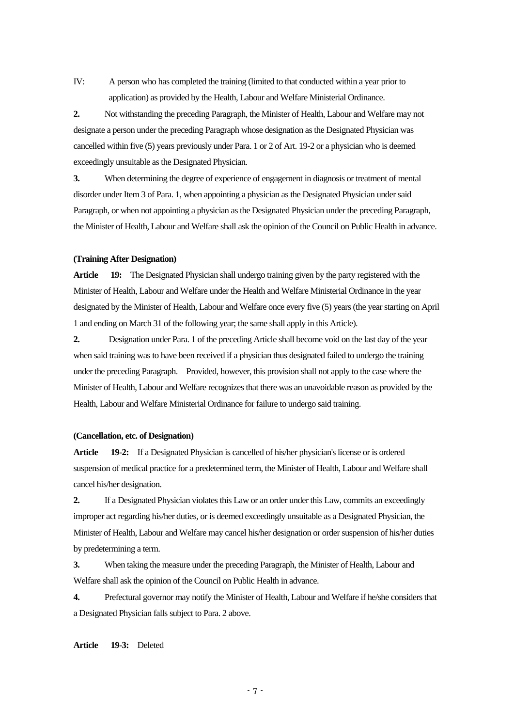IV: A person who has completed the training (limited to that conducted within a year prior to application) as provided by the Health, Labour and Welfare Ministerial Ordinance.

**2.** Not withstanding the preceding Paragraph, the Minister of Health, Labour and Welfare may not designate a person under the preceding Paragraph whose designation as the Designated Physician was cancelled within five (5) years previously under Para. 1 or 2 of Art. 19-2 or a physician who is deemed exceedingly unsuitable as the Designated Physician.

**3.** When determining the degree of experience of engagement in diagnosis or treatment of mental disorder under Item 3 of Para. 1, when appointing a physician as the Designated Physician under said Paragraph, or when not appointing a physician as the Designated Physician under the preceding Paragraph, the Minister of Health, Labour and Welfare shall ask the opinion of the Council on Public Health in advance.

# **(Training After Designation)**

**Article 19:** The Designated Physician shall undergo training given by the party registered with the Minister of Health, Labour and Welfare under the Health and Welfare Ministerial Ordinance in the year designated by the Minister of Health, Labour and Welfare once every five (5) years (the year starting on April 1 and ending on March 31 of the following year; the same shall apply in this Article).

**2.** Designation under Para. 1 of the preceding Article shall become void on the last day of the year when said training was to have been received if a physician thus designated failed to undergo the training under the preceding Paragraph. Provided, however, this provision shall not apply to the case where the Minister of Health, Labour and Welfare recognizes that there was an unavoidable reason as provided by the Health, Labour and Welfare Ministerial Ordinance for failure to undergo said training.

#### **(Cancellation, etc. of Designation)**

**Article 19-2:** If a Designated Physician is cancelled of his/her physician's license or is ordered suspension of medical practice for a predetermined term, the Minister of Health, Labour and Welfare shall cancel his/her designation.

**2.** If a Designated Physician violates this Law or an order under this Law, commits an exceedingly improper act regarding his/her duties, or is deemed exceedingly unsuitable as a Designated Physician, the Minister of Health, Labour and Welfare may cancel his/her designation or order suspension of his/her duties by predetermining a term.

**3.** When taking the measure under the preceding Paragraph, the Minister of Health, Labour and Welfare shall ask the opinion of the Council on Public Health in advance.

**4.** Prefectural governor may notify the Minister of Health, Labour and Welfare if he/she considers that a Designated Physician falls subject to Para. 2 above.

**Article 19-3:** Deleted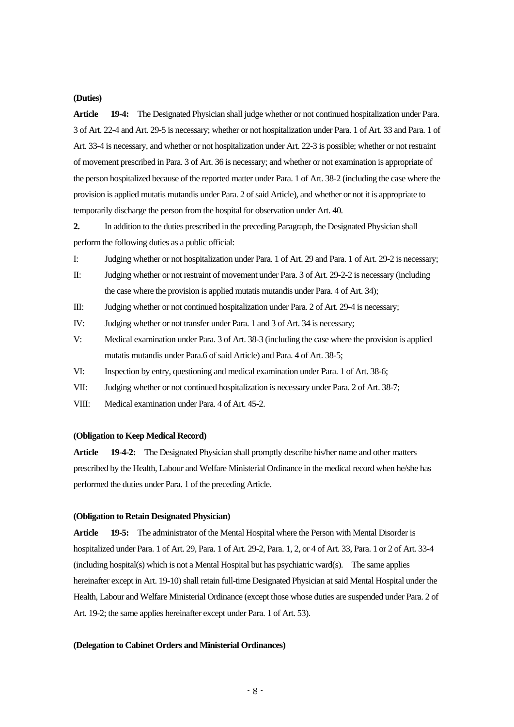# **(Duties)**

**Article 19-4:** The Designated Physician shall judge whether or not continued hospitalization under Para. 3 of Art. 22-4 and Art. 29-5 is necessary; whether or not hospitalization under Para. 1 of Art. 33 and Para. 1 of Art. 33-4 is necessary, and whether or not hospitalization under Art. 22-3 is possible; whether or not restraint of movement prescribed in Para. 3 of Art. 36 is necessary; and whether or not examination is appropriate of the person hospitalized because of the reported matter under Para. 1 of Art. 38-2 (including the case where the provision is applied mutatis mutandis under Para. 2 of said Article), and whether or not it is appropriate to temporarily discharge the person from the hospital for observation under Art. 40.

**2.** In addition to the duties prescribed in the preceding Paragraph, the Designated Physician shall perform the following duties as a public official:

- I: Judging whether or not hospitalization under Para. 1 of Art. 29 and Para. 1 of Art. 29-2 is necessary;
- II: Judging whether or not restraint of movement under Para. 3 of Art. 29-2-2 is necessary (including the case where the provision is applied mutatis mutandis under Para. 4 of Art. 34);
- III: Judging whether or not continued hospitalization under Para. 2 of Art. 29-4 is necessary;
- IV: Judging whether or not transfer under Para. 1 and 3 of Art. 34 is necessary;
- V: Medical examination under Para. 3 of Art. 38-3 (including the case where the provision is applied mutatis mutandis under Para.6 of said Article) and Para. 4 of Art. 38-5;
- VI: Inspection by entry, questioning and medical examination under Para. 1 of Art. 38-6;
- VII: Judging whether or not continued hospitalization is necessary under Para. 2 of Art. 38-7;
- VIII: Medical examination under Para. 4 of Art. 45-2.

#### **(Obligation to Keep Medical Record)**

**Article 19-4-2:** The Designated Physician shall promptly describe his/her name and other matters prescribed by the Health, Labour and Welfare Ministerial Ordinance in the medical record when he/she has performed the duties under Para. 1 of the preceding Article.

#### **(Obligation to Retain Designated Physician)**

**Article 19-5:** The administrator of the Mental Hospital where the Person with Mental Disorder is hospitalized under Para. 1 of Art. 29, Para. 1 of Art. 29-2, Para. 1, 2, or 4 of Art. 33, Para. 1 or 2 of Art. 33-4 (including hospital(s) which is not a Mental Hospital but has psychiatric ward(s). The same applies hereinafter except in Art. 19-10) shall retain full-time Designated Physician at said Mental Hospital under the Health, Labour and Welfare Ministerial Ordinance (except those whose duties are suspended under Para. 2 of Art. 19-2; the same applies hereinafter except under Para. 1 of Art. 53).

#### **(Delegation to Cabinet Orders and Ministerial Ordinances)**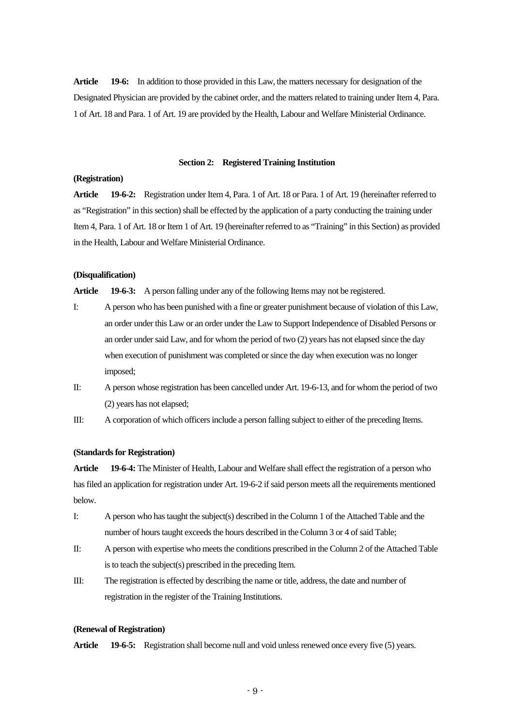**Article 19-6:** In addition to those provided in this Law, the matters necessary for designation of the Designated Physician are provided by the cabinet order, and the matters related to training under Item 4, Para. 1 of Art. 18 and Para. 1 of Art. 19 are provided by the Health, Labour and Welfare Ministerial Ordinance.

#### **Section 2: Registered Training Institution**

# **(Registration)**

**Article 19-6-2:** Registration under Item 4, Para. 1 of Art. 18 or Para. 1 of Art. 19 (hereinafter referred to as "Registration" in this section) shall be effected by the application of a party conducting the training under Item 4, Para. 1 of Art. 18 or Item 1 of Art. 19 (hereinafter referred to as "Training" in this Section) as provided in the Health, Labour and Welfare Ministerial Ordinance.

# **(Disqualification)**

**Article 19-6-3:** A person falling under any of the following Items may not be registered.

- I: A person who has been punished with a fine or greater punishment because of violation of this Law, an order under this Law or an order under the Law to Support Independence of Disabled Persons or an order under said Law, and for whom the period of two (2) years has not elapsed since the day when execution of punishment was completed or since the day when execution was no longer imposed;
- II: A person whose registration has been cancelled under Art. 19-6-13, and for whom the period of two (2) years has not elapsed;
- III: A corporation of which officers include a person falling subject to either of the preceding Items.

# **(Standards for Registration)**

**Article 19-6-4:** The Minister of Health, Labour and Welfare shall effect the registration of a person who has filed an application for registration under Art. 19-6-2 if said person meets all the requirements mentioned below.

- I: A person who has taught the subject(s) described in the Column 1 of the Attached Table and the number of hours taught exceeds the hours described in the Column 3 or 4 of said Table;
- II: A person with expertise who meets the conditions prescribed in the Column 2 of the Attached Table is to teach the subject(s) prescribed in the preceding Item.
- III: The registration is effected by describing the name or title, address, the date and number of registration in the register of the Training Institutions.

# **(Renewal of Registration)**

**Article 19-6-5:** Registration shall become null and void unless renewed once every five (5) years.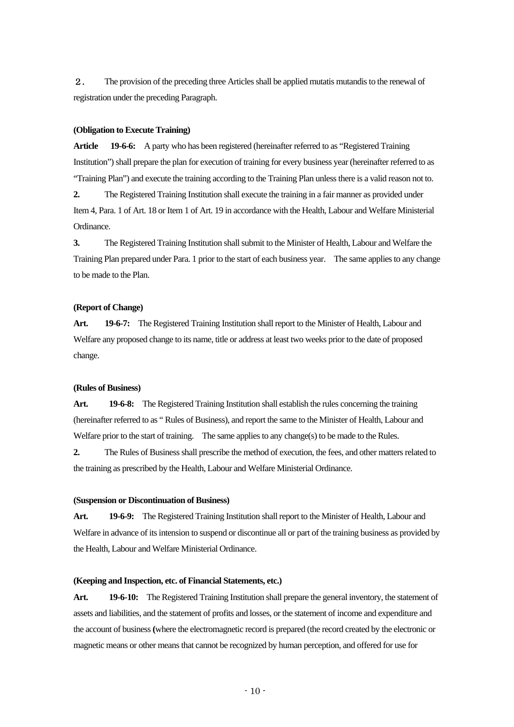2. The provision of the preceding three Articles shall be applied mutatis mutandis to the renewal of registration under the preceding Paragraph.

#### **(Obligation to Execute Training)**

**Article 19-6-6:** A party who has been registered (hereinafter referred to as "Registered Training Institution") shall prepare the plan for execution of training for every business year (hereinafter referred to as "Training Plan") and execute the training according to the Training Plan unless there is a valid reason not to.

**2.** The Registered Training Institution shall execute the training in a fair manner as provided under Item 4, Para. 1 of Art. 18 or Item 1 of Art. 19 in accordance with the Health, Labour and Welfare Ministerial Ordinance.

**3.** The Registered Training Institution shall submit to the Minister of Health, Labour and Welfare the Training Plan prepared under Para. 1 prior to the start of each business year. The same applies to any change to be made to the Plan.

# **(Report of Change)**

**Art. 19-6-7:** The Registered Training Institution shall report to the Minister of Health, Labour and Welfare any proposed change to its name, title or address at least two weeks prior to the date of proposed change.

#### **(Rules of Business)**

**Art. 19-6-8:** The Registered Training Institution shall establish the rules concerning the training (hereinafter referred to as " Rules of Business), and report the same to the Minister of Health, Labour and Welfare prior to the start of training. The same applies to any change(s) to be made to the Rules. **2.** The Rules of Business shall prescribe the method of execution, the fees, and other matters related to

the training as prescribed by the Health, Labour and Welfare Ministerial Ordinance.

# **(Suspension or Discontinuation of Business)**

**Art. 19-6-9:** The Registered Training Institution shall report to the Minister of Health, Labour and Welfare in advance of its intension to suspend or discontinue all or part of the training business as provided by the Health, Labour and Welfare Ministerial Ordinance.

# **(Keeping and Inspection, etc. of Financial Statements, etc.)**

**Art. 19-6-10:** The Registered Training Institution shall prepare the general inventory, the statement of assets and liabilities, and the statement of profits and losses, or the statement of income and expenditure and the account of business **(**where the electromagnetic record is prepared (the record created by the electronic or magnetic means or other means that cannot be recognized by human perception, and offered for use for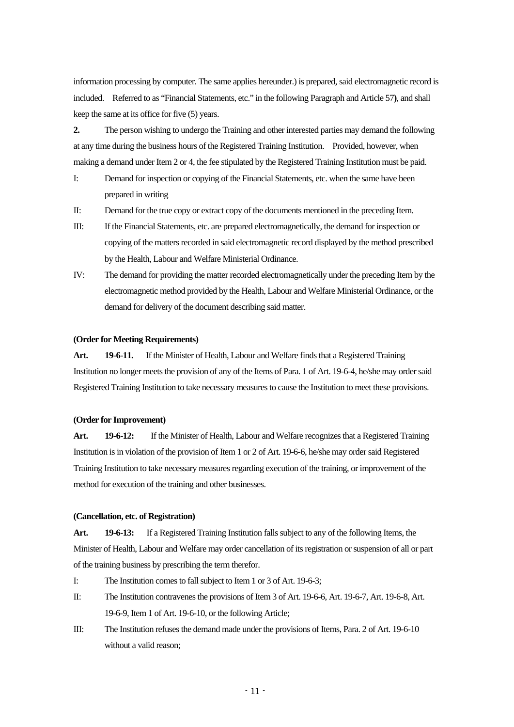information processing by computer. The same applies hereunder.) is prepared, said electromagnetic record is included. Referred to as "Financial Statements, etc." in the following Paragraph and Article 57**)**, and shall keep the same at its office for five (5) years.

**2.** The person wishing to undergo the Training and other interested parties may demand the following at any time during the business hours of the Registered Training Institution. Provided, however, when making a demand under Item 2 or 4, the fee stipulated by the Registered Training Institution must be paid.

- I: Demand for inspection or copying of the Financial Statements, etc. when the same have been prepared in writing
- II: Demand for the true copy or extract copy of the documents mentioned in the preceding Item.
- III: If the Financial Statements, etc. are prepared electromagnetically, the demand for inspection or copying of the matters recorded in said electromagnetic record displayed by the method prescribed by the Health, Labour and Welfare Ministerial Ordinance.
- IV: The demand for providing the matter recorded electromagnetically under the preceding Item by the electromagnetic method provided by the Health, Labour and Welfare Ministerial Ordinance, or the demand for delivery of the document describing said matter.

#### **(Order for Meeting Requirements)**

**Art. 19-6-11.** If the Minister of Health, Labour and Welfare finds that a Registered Training Institution no longer meets the provision of any of the Items of Para. 1 of Art. 19-6-4, he/she may order said Registered Training Institution to take necessary measures to cause the Institution to meet these provisions.

## **(Order for Improvement)**

**Art. 19-6-12:** If the Minister of Health, Labour and Welfare recognizes that a Registered Training Institution is in violation of the provision of Item 1 or 2 of Art. 19-6-6, he/she may order said Registered Training Institution to take necessary measures regarding execution of the training, or improvement of the method for execution of the training and other businesses.

#### **(Cancellation, etc. of Registration)**

**Art. 19-6-13:** If a Registered Training Institution falls subject to any of the following Items, the Minister of Health, Labour and Welfare may order cancellation of its registration or suspension of all or part of the training business by prescribing the term therefor.

- I: The Institution comes to fall subject to Item 1 or 3 of Art. 19-6-3;
- II: The Institution contravenes the provisions of Item 3 of Art. 19-6-6, Art. 19-6-7, Art. 19-6-8, Art. 19-6-9, Item 1 of Art. 19-6-10, or the following Article;
- III: The Institution refuses the demand made under the provisions of Items, Para. 2 of Art. 19-6-10 without a valid reason;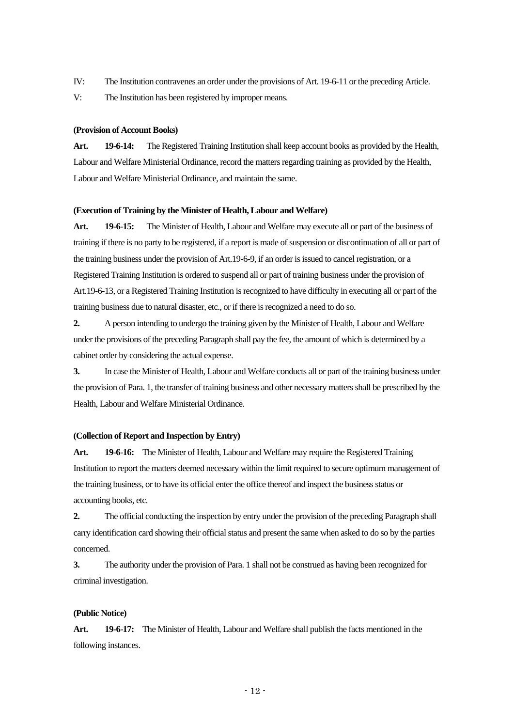- IV: The Institution contravenes an order under the provisions of Art. 19-6-11 or the preceding Article.
- V: The Institution has been registered by improper means.

# **(Provision of Account Books)**

**Art. 19-6-14:** The Registered Training Institution shall keep account books as provided by the Health, Labour and Welfare Ministerial Ordinance, record the matters regarding training as provided by the Health, Labour and Welfare Ministerial Ordinance, and maintain the same.

## **(Execution of Training by the Minister of Health, Labour and Welfare)**

**Art. 19-6-15:** The Minister of Health, Labour and Welfare may execute all or part of the business of training if there is no party to be registered, if a report is made of suspension or discontinuation of all or part of the training business under the provision of Art.19-6-9, if an order is issued to cancel registration, or a Registered Training Institution is ordered to suspend all or part of training business under the provision of Art.19-6-13, or a Registered Training Institution is recognized to have difficulty in executing all or part of the training business due to natural disaster, etc., or if there is recognized a need to do so.

**2.** A person intending to undergo the training given by the Minister of Health, Labour and Welfare under the provisions of the preceding Paragraph shall pay the fee, the amount of which is determined by a cabinet order by considering the actual expense.

**3.** In case the Minister of Health, Labour and Welfare conducts all or part of the training business under the provision of Para. 1, the transfer of training business and other necessary matters shall be prescribed by the Health, Labour and Welfare Ministerial Ordinance.

# **(Collection of Report and Inspection by Entry)**

**Art. 19-6-16:** The Minister of Health, Labour and Welfare may require the Registered Training Institution to report the matters deemed necessary within the limit required to secure optimum management of the training business, or to have its official enter the office thereof and inspect the business status or accounting books, etc.

**2.** The official conducting the inspection by entry under the provision of the preceding Paragraph shall carry identification card showing their official status and present the same when asked to do so by the parties concerned.

**3.** The authority under the provision of Para. 1 shall not be construed as having been recognized for criminal investigation.

# **(Public Notice)**

**Art. 19-6-17:** The Minister of Health, Labour and Welfare shall publish the facts mentioned in the following instances.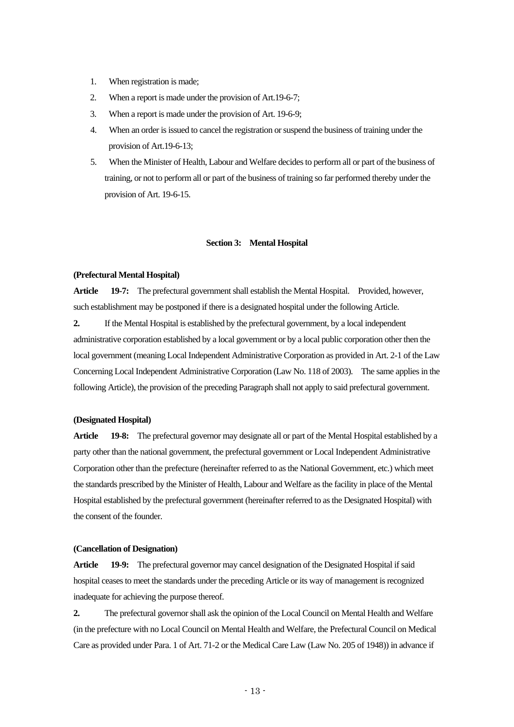- 1. When registration is made;
- 2. When a report is made under the provision of Art.19-6-7;
- 3. When a report is made under the provision of Art. 19-6-9;
- 4. When an order is issued to cancel the registration or suspend the business of training under the provision of Art.19-6-13;
- 5. When the Minister of Health, Labour and Welfare decides to perform all or part of the business of training, or not to perform all or part of the business of training so far performed thereby under the provision of Art. 19-6-15.

# **Section 3: Mental Hospital**

#### **(Prefectural Mental Hospital)**

**Article 19-7:** The prefectural government shall establish the Mental Hospital. Provided, however, such establishment may be postponed if there is a designated hospital under the following Article.

**2.** If the Mental Hospital is established by the prefectural government, by a local independent administrative corporation established by a local government or by a local public corporation other then the local government (meaning Local Independent Administrative Corporation as provided in Art. 2-1 of the Law Concerning Local Independent Administrative Corporation (Law No. 118 of 2003). The same applies in the following Article), the provision of the preceding Paragraph shall not apply to said prefectural government.

## **(Designated Hospital)**

**Article 19-8:** The prefectural governor may designate all or part of the Mental Hospital established by a party other than the national government, the prefectural government or Local Independent Administrative Corporation other than the prefecture (hereinafter referred to as the National Government, etc.) which meet the standards prescribed by the Minister of Health, Labour and Welfare as the facility in place of the Mental Hospital established by the prefectural government (hereinafter referred to as the Designated Hospital) with the consent of the founder.

# **(Cancellation of Designation)**

**Article 19-9:** The prefectural governor may cancel designation of the Designated Hospital if said hospital ceases to meet the standards under the preceding Article or its way of management is recognized inadequate for achieving the purpose thereof.

**2.** The prefectural governor shall ask the opinion of the Local Council on Mental Health and Welfare (in the prefecture with no Local Council on Mental Health and Welfare, the Prefectural Council on Medical Care as provided under Para. 1 of Art. 71-2 or the Medical Care Law (Law No. 205 of 1948)) in advance if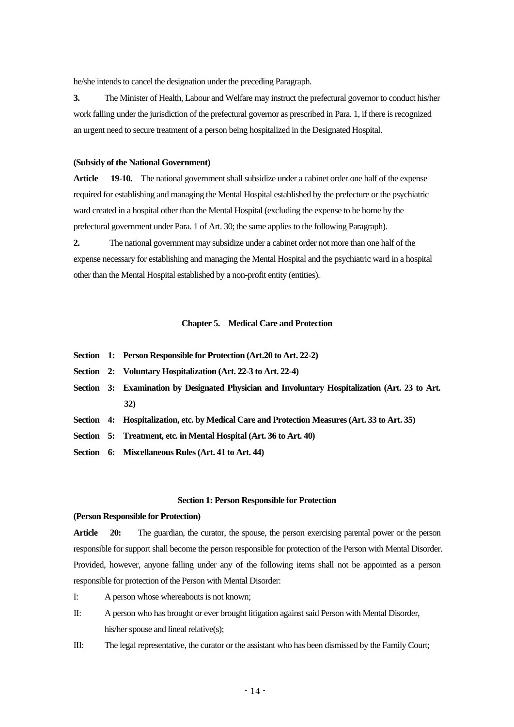he/she intends to cancel the designation under the preceding Paragraph.

**3.** The Minister of Health, Labour and Welfare may instruct the prefectural governor to conduct his/her work falling under the jurisdiction of the prefectural governor as prescribed in Para. 1, if there is recognized an urgent need to secure treatment of a person being hospitalized in the Designated Hospital.

#### **(Subsidy of the National Government)**

**Article 19-10.** The national government shall subsidize under a cabinet order one half of the expense required for establishing and managing the Mental Hospital established by the prefecture or the psychiatric ward created in a hospital other than the Mental Hospital (excluding the expense to be borne by the prefectural government under Para. 1 of Art. 30; the same applies to the following Paragraph).

**2.** The national government may subsidize under a cabinet order not more than one half of the expense necessary for establishing and managing the Mental Hospital and the psychiatric ward in a hospital other than the Mental Hospital established by a non-profit entity (entities).

# **Chapter 5. Medical Care and Protection**

- **Section 1: Person Responsible for Protection (Art.20 to Art. 22-2)**
- **Section 2: Voluntary Hospitalization (Art. 22-3 to Art. 22-4)**
- **Section 3: Examination by Designated Physician and Involuntary Hospitalization (Art. 23 to Art. 32)**
- **Section 4: Hospitalization, etc. by Medical Care and Protection Measures (Art. 33 to Art. 35)**
- **Section 5: Treatment, etc. in Mental Hospital (Art. 36 to Art. 40)**
- **Section 6: Miscellaneous Rules (Art. 41 to Art. 44)**

# **Section 1: Person Responsible for Protection**

#### **(Person Responsible for Protection)**

**Article 20:** The guardian, the curator, the spouse, the person exercising parental power or the person responsible for support shall become the person responsible for protection of the Person with Mental Disorder. Provided, however, anyone falling under any of the following items shall not be appointed as a person responsible for protection of the Person with Mental Disorder:

- I: A person whose whereabouts is not known;
- II: A person who has brought or ever brought litigation against said Person with Mental Disorder, his/her spouse and lineal relative(s);
- III: The legal representative, the curator or the assistant who has been dismissed by the Family Court;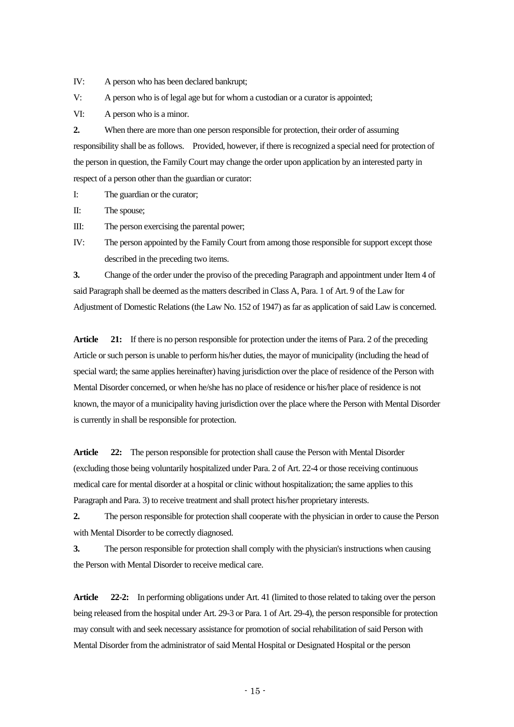IV: A person who has been declared bankrupt;

V: A person who is of legal age but for whom a custodian or a curator is appointed;

VI: A person who is a minor.

**2.** When there are more than one person responsible for protection, their order of assuming responsibility shall be as follows. Provided, however, if there is recognized a special need for protection of the person in question, the Family Court may change the order upon application by an interested party in respect of a person other than the guardian or curator:

I: The guardian or the curator;

II: The spouse;

III: The person exercising the parental power;

IV: The person appointed by the Family Court from among those responsible for support except those described in the preceding two items.

**3.** Change of the order under the proviso of the preceding Paragraph and appointment under Item 4 of said Paragraph shall be deemed as the matters described in Class A, Para. 1 of Art. 9 of the Law for Adjustment of Domestic Relations (the Law No. 152 of 1947) as far as application of said Law is concerned.

Article 21: If there is no person responsible for protection under the items of Para. 2 of the preceding Article or such person is unable to perform his/her duties, the mayor of municipality (including the head of special ward; the same applies hereinafter) having jurisdiction over the place of residence of the Person with Mental Disorder concerned, or when he/she has no place of residence or his/her place of residence is not known, the mayor of a municipality having jurisdiction over the place where the Person with Mental Disorder is currently in shall be responsible for protection.

**Article 22:** The person responsible for protection shall cause the Person with Mental Disorder (excluding those being voluntarily hospitalized under Para. 2 of Art. 22-4 or those receiving continuous medical care for mental disorder at a hospital or clinic without hospitalization; the same applies to this Paragraph and Para. 3) to receive treatment and shall protect his/her proprietary interests.

**2.** The person responsible for protection shall cooperate with the physician in order to cause the Person with Mental Disorder to be correctly diagnosed.

**3.** The person responsible for protection shall comply with the physician's instructions when causing the Person with Mental Disorder to receive medical care.

**Article 22-2:** In performing obligations under Art. 41 (limited to those related to taking over the person being released from the hospital under Art. 29-3 or Para. 1 of Art. 29-4), the person responsible for protection may consult with and seek necessary assistance for promotion of social rehabilitation of said Person with Mental Disorder from the administrator of said Mental Hospital or Designated Hospital or the person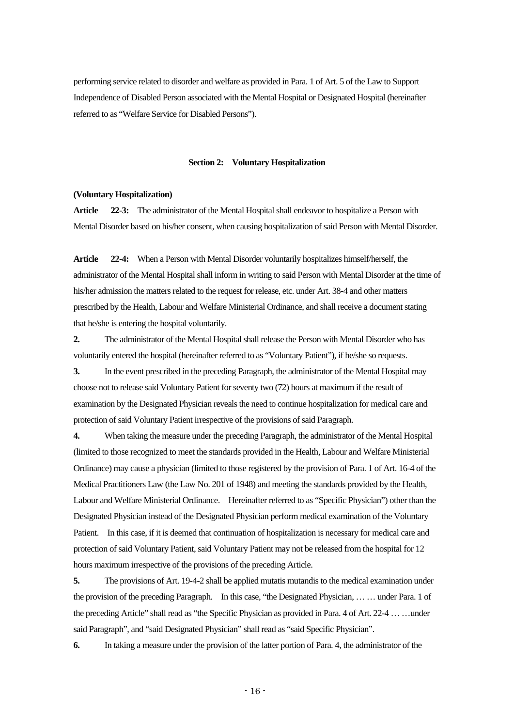performing service related to disorder and welfare as provided in Para. 1 of Art. 5 of the Law to Support Independence of Disabled Person associated with the Mental Hospital or Designated Hospital (hereinafter referred to as "Welfare Service for Disabled Persons").

#### **Section 2: Voluntary Hospitalization**

#### **(Voluntary Hospitalization)**

**Article 22-3:** The administrator of the Mental Hospital shall endeavor to hospitalize a Person with Mental Disorder based on his/her consent, when causing hospitalization of said Person with Mental Disorder.

**Article 22-4:** When a Person with Mental Disorder voluntarily hospitalizes himself/herself, the administrator of the Mental Hospital shall inform in writing to said Person with Mental Disorder at the time of his/her admission the matters related to the request for release, etc. under Art. 38-4 and other matters prescribed by the Health, Labour and Welfare Ministerial Ordinance, and shall receive a document stating that he/she is entering the hospital voluntarily.

**2.** The administrator of the Mental Hospital shall release the Person with Mental Disorder who has voluntarily entered the hospital (hereinafter referred to as "Voluntary Patient"), if he/she so requests.

**3.** In the event prescribed in the preceding Paragraph, the administrator of the Mental Hospital may choose not to release said Voluntary Patient for seventy two (72) hours at maximum if the result of examination by the Designated Physician reveals the need to continue hospitalization for medical care and protection of said Voluntary Patient irrespective of the provisions of said Paragraph.

**4.** When taking the measure under the preceding Paragraph, the administrator of the Mental Hospital (limited to those recognized to meet the standards provided in the Health, Labour and Welfare Ministerial Ordinance) may cause a physician (limited to those registered by the provision of Para. 1 of Art. 16-4 of the Medical Practitioners Law (the Law No. 201 of 1948) and meeting the standards provided by the Health, Labour and Welfare Ministerial Ordinance. Hereinafter referred to as "Specific Physician") other than the Designated Physician instead of the Designated Physician perform medical examination of the Voluntary Patient. In this case, if it is deemed that continuation of hospitalization is necessary for medical care and protection of said Voluntary Patient, said Voluntary Patient may not be released from the hospital for 12 hours maximum irrespective of the provisions of the preceding Article.

**5.** The provisions of Art. 19-4-2 shall be applied mutatis mutandis to the medical examination under the provision of the preceding Paragraph. In this case, "the Designated Physician, … … under Para. 1 of the preceding Article" shall read as "the Specific Physician as provided in Para. 4 of Art. 22-4 … …under said Paragraph", and "said Designated Physician" shall read as "said Specific Physician".

**6.** In taking a measure under the provision of the latter portion of Para. 4, the administrator of the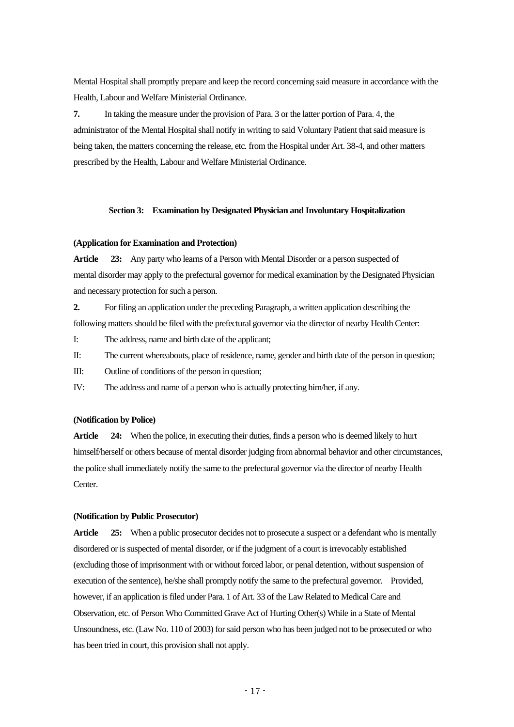Mental Hospital shall promptly prepare and keep the record concerning said measure in accordance with the Health, Labour and Welfare Ministerial Ordinance.

**7.** In taking the measure under the provision of Para. 3 or the latter portion of Para. 4, the administrator of the Mental Hospital shall notify in writing to said Voluntary Patient that said measure is being taken, the matters concerning the release, etc. from the Hospital under Art. 38-4, and other matters prescribed by the Health, Labour and Welfare Ministerial Ordinance.

#### **Section 3: Examination by Designated Physician and Involuntary Hospitalization**

# **(Application for Examination and Protection)**

Article 23: Any party who learns of a Person with Mental Disorder or a person suspected of mental disorder may apply to the prefectural governor for medical examination by the Designated Physician and necessary protection for such a person.

**2.** For filing an application under the preceding Paragraph, a written application describing the following matters should be filed with the prefectural governor via the director of nearby Health Center:

I: The address, name and birth date of the applicant;

II: The current whereabouts, place of residence, name, gender and birth date of the person in question;

III: Outline of conditions of the person in question;

IV: The address and name of a person who is actually protecting him/her, if any.

## **(Notification by Police)**

**Article 24:** When the police, in executing their duties, finds a person who is deemed likely to hurt himself/herself or others because of mental disorder judging from abnormal behavior and other circumstances, the police shall immediately notify the same to the prefectural governor via the director of nearby Health Center.

# **(Notification by Public Prosecutor)**

**Article 25:** When a public prosecutor decides not to prosecute a suspect or a defendant who is mentally disordered or is suspected of mental disorder, or if the judgment of a court is irrevocably established (excluding those of imprisonment with or without forced labor, or penal detention, without suspension of execution of the sentence), he/she shall promptly notify the same to the prefectural governor. Provided, however, if an application is filed under Para. 1 of Art. 33 of the Law Related to Medical Care and Observation, etc. of Person Who Committed Grave Act of Hurting Other(s) While in a State of Mental Unsoundness, etc. (Law No. 110 of 2003) for said person who has been judged not to be prosecuted or who has been tried in court, this provision shall not apply.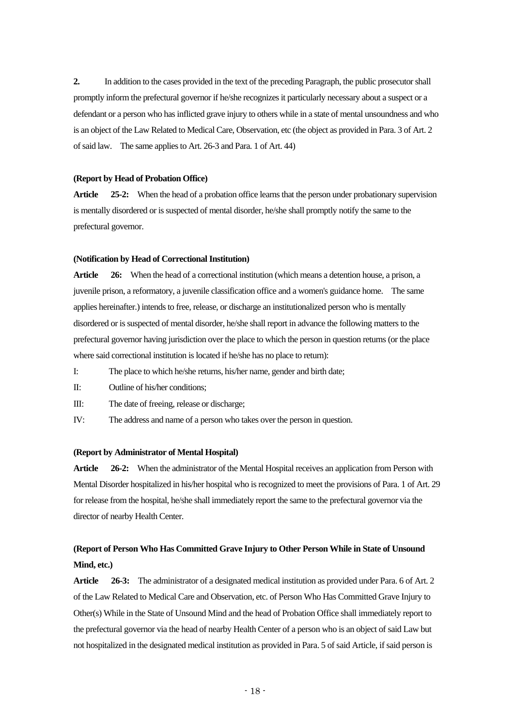**2.** In addition to the cases provided in the text of the preceding Paragraph, the public prosecutor shall promptly inform the prefectural governor if he/she recognizes it particularly necessary about a suspect or a defendant or a person who has inflicted grave injury to others while in a state of mental unsoundness and who is an object of the Law Related to Medical Care, Observation, etc (the object as provided in Para. 3 of Art. 2 of said law. The same applies to Art. 26-3 and Para. 1 of Art. 44)

#### **(Report by Head of Probation Office)**

**Article 25-2:** When the head of a probation office learns that the person under probationary supervision is mentally disordered or is suspected of mental disorder, he/she shall promptly notify the same to the prefectural governor.

## **(Notification by Head of Correctional Institution)**

**Article 26:** When the head of a correctional institution (which means a detention house, a prison, a juvenile prison, a reformatory, a juvenile classification office and a women's guidance home. The same applies hereinafter.) intends to free, release, or discharge an institutionalized person who is mentally disordered or is suspected of mental disorder, he/she shall report in advance the following matters to the prefectural governor having jurisdiction over the place to which the person in question returns (or the place where said correctional institution is located if he/she has no place to return):

- I: The place to which he/she returns, his/her name, gender and birth date;
- II: Outline of his/her conditions;
- III: The date of freeing, release or discharge;
- IV: The address and name of a person who takes over the person in question.

# **(Report by Administrator of Mental Hospital)**

**Article 26-2:** When the administrator of the Mental Hospital receives an application from Person with Mental Disorder hospitalized in his/her hospital who is recognized to meet the provisions of Para. 1 of Art. 29 for release from the hospital, he/she shall immediately report the same to the prefectural governor via the director of nearby Health Center.

# **(Report of Person Who Has Committed Grave Injury to Other Person While in State of Unsound Mind, etc.)**

**Article 26-3:** The administrator of a designated medical institution as provided under Para. 6 of Art. 2 of the Law Related to Medical Care and Observation, etc. of Person Who Has Committed Grave Injury to Other(s) While in the State of Unsound Mind and the head of Probation Office shall immediately report to the prefectural governor via the head of nearby Health Center of a person who is an object of said Law but not hospitalized in the designated medical institution as provided in Para. 5 of said Article, if said person is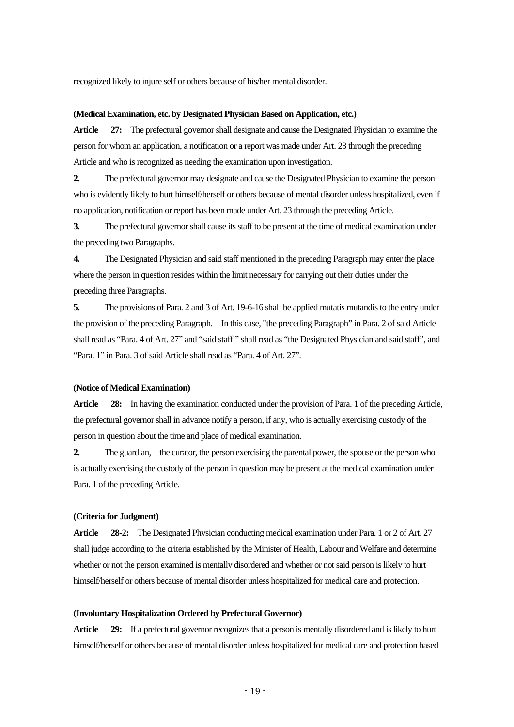recognized likely to injure self or others because of his/her mental disorder.

# **(Medical Examination, etc. by Designated Physician Based on Application, etc.)**

**Article 27:** The prefectural governor shall designate and cause the Designated Physician to examine the person for whom an application, a notification or a report was made under Art. 23 through the preceding Article and who is recognized as needing the examination upon investigation.

**2.** The prefectural governor may designate and cause the Designated Physician to examine the person who is evidently likely to hurt himself/herself or others because of mental disorder unless hospitalized, even if no application, notification or report has been made under Art. 23 through the preceding Article.

**3.** The prefectural governor shall cause its staff to be present at the time of medical examination under the preceding two Paragraphs.

**4.** The Designated Physician and said staff mentioned in the preceding Paragraph may enter the place where the person in question resides within the limit necessary for carrying out their duties under the preceding three Paragraphs.

**5.** The provisions of Para. 2 and 3 of Art. 19-6-16 shall be applied mutatis mutandis to the entry under the provision of the preceding Paragraph. In this case, "the preceding Paragraph" in Para. 2 of said Article shall read as "Para. 4 of Art. 27" and "said staff " shall read as "the Designated Physician and said staff", and "Para. 1" in Para. 3 of said Article shall read as "Para. 4 of Art. 27".

#### **(Notice of Medical Examination)**

**Article 28:** In having the examination conducted under the provision of Para. 1 of the preceding Article, the prefectural governor shall in advance notify a person, if any, who is actually exercising custody of the person in question about the time and place of medical examination.

**2.** The guardian, the curator, the person exercising the parental power, the spouse or the person who is actually exercising the custody of the person in question may be present at the medical examination under Para. 1 of the preceding Article.

# **(Criteria for Judgment)**

**Article 28-2:** The Designated Physician conducting medical examination under Para. 1 or 2 of Art. 27 shall judge according to the criteria established by the Minister of Health, Labour and Welfare and determine whether or not the person examined is mentally disordered and whether or not said person is likely to hurt himself/herself or others because of mental disorder unless hospitalized for medical care and protection.

#### **(Involuntary Hospitalization Ordered by Prefectural Governor)**

**Article 29:** If a prefectural governor recognizes that a person is mentally disordered and is likely to hurt himself/herself or others because of mental disorder unless hospitalized for medical care and protection based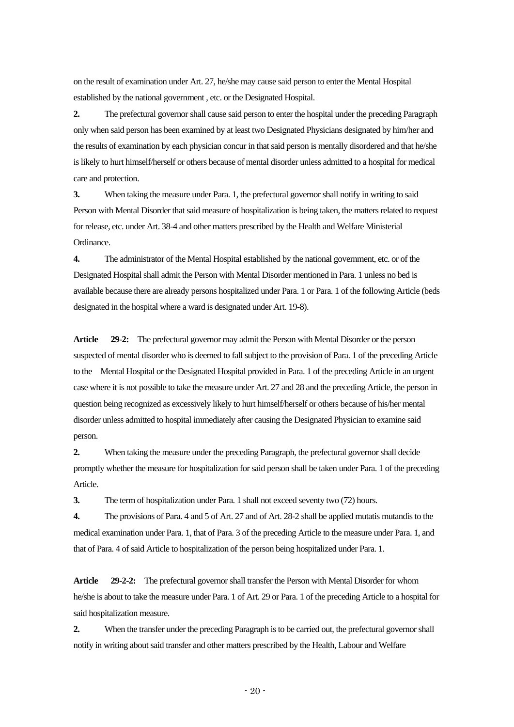on the result of examination under Art. 27, he/she may cause said person to enter the Mental Hospital established by the national government , etc. or the Designated Hospital.

**2.** The prefectural governor shall cause said person to enter the hospital under the preceding Paragraph only when said person has been examined by at least two Designated Physicians designated by him/her and the results of examination by each physician concur in that said person is mentally disordered and that he/she is likely to hurt himself/herself or others because of mental disorder unless admitted to a hospital for medical care and protection.

**3.** When taking the measure under Para. 1, the prefectural governor shall notify in writing to said Person with Mental Disorder that said measure of hospitalization is being taken, the matters related to request for release, etc. under Art. 38-4 and other matters prescribed by the Health and Welfare Ministerial Ordinance.

**4.** The administrator of the Mental Hospital established by the national government, etc. or of the Designated Hospital shall admit the Person with Mental Disorder mentioned in Para. 1 unless no bed is available because there are already persons hospitalized under Para. 1 or Para. 1 of the following Article (beds designated in the hospital where a ward is designated under Art. 19-8).

**Article 29-2:** The prefectural governor may admit the Person with Mental Disorder or the person suspected of mental disorder who is deemed to fall subject to the provision of Para. 1 of the preceding Article to the Mental Hospital or the Designated Hospital provided in Para. 1 of the preceding Article in an urgent case where it is not possible to take the measure under Art. 27 and 28 and the preceding Article, the person in question being recognized as excessively likely to hurt himself/herself or others because of his/her mental disorder unless admitted to hospital immediately after causing the Designated Physician to examine said person.

**2.** When taking the measure under the preceding Paragraph, the prefectural governor shall decide promptly whether the measure for hospitalization for said person shall be taken under Para. 1 of the preceding Article.

**3.** The term of hospitalization under Para. 1 shall not exceed seventy two (72) hours.

**4.** The provisions of Para. 4 and 5 of Art. 27 and of Art. 28-2 shall be applied mutatis mutandis to the medical examination under Para. 1, that of Para. 3 of the preceding Article to the measure under Para. 1, and that of Para. 4 of said Article to hospitalization of the person being hospitalized under Para. 1.

**Article 29-2-2:** The prefectural governor shall transfer the Person with Mental Disorder for whom he/she is about to take the measure under Para. 1 of Art. 29 or Para. 1 of the preceding Article to a hospital for said hospitalization measure.

**2.** When the transfer under the preceding Paragraph is to be carried out, the prefectural governor shall notify in writing about said transfer and other matters prescribed by the Health, Labour and Welfare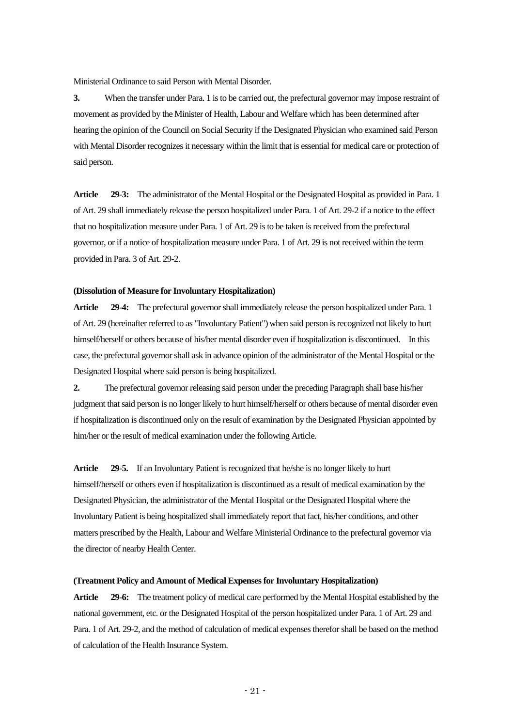Ministerial Ordinance to said Person with Mental Disorder.

**3.** When the transfer under Para. 1 is to be carried out, the prefectural governor may impose restraint of movement as provided by the Minister of Health, Labour and Welfare which has been determined after hearing the opinion of the Council on Social Security if the Designated Physician who examined said Person with Mental Disorder recognizes it necessary within the limit that is essential for medical care or protection of said person.

**Article 29-3:** The administrator of the Mental Hospital or the Designated Hospital as provided in Para. 1 of Art. 29 shall immediately release the person hospitalized under Para. 1 of Art. 29-2 if a notice to the effect that no hospitalization measure under Para. 1 of Art. 29 is to be taken is received from the prefectural governor, or if a notice of hospitalization measure under Para. 1 of Art. 29 is not received within the term provided in Para. 3 of Art. 29-2.

## **(Dissolution of Measure for Involuntary Hospitalization)**

**Article 29-4:** The prefectural governor shall immediately release the person hospitalized under Para. 1 of Art. 29 (hereinafter referred to as "Involuntary Patient") when said person is recognized not likely to hurt himself/herself or others because of his/her mental disorder even if hospitalization is discontinued. In this case, the prefectural governor shall ask in advance opinion of the administrator of the Mental Hospital or the Designated Hospital where said person is being hospitalized.

**2.** The prefectural governor releasing said person under the preceding Paragraph shall base his/her judgment that said person is no longer likely to hurt himself/herself or others because of mental disorder even if hospitalization is discontinued only on the result of examination by the Designated Physician appointed by him/her or the result of medical examination under the following Article.

**Article 29-5.** If an Involuntary Patient is recognized that he/she is no longer likely to hurt himself/herself or others even if hospitalization is discontinued as a result of medical examination by the Designated Physician, the administrator of the Mental Hospital or the Designated Hospital where the Involuntary Patient is being hospitalized shall immediately report that fact, his/her conditions, and other matters prescribed by the Health, Labour and Welfare Ministerial Ordinance to the prefectural governor via the director of nearby Health Center.

#### **(Treatment Policy and Amount of Medical Expenses for Involuntary Hospitalization)**

**Article 29-6:** The treatment policy of medical care performed by the Mental Hospital established by the national government, etc. or the Designated Hospital of the person hospitalized under Para. 1 of Art. 29 and Para. 1 of Art. 29-2, and the method of calculation of medical expenses therefor shall be based on the method of calculation of the Health Insurance System.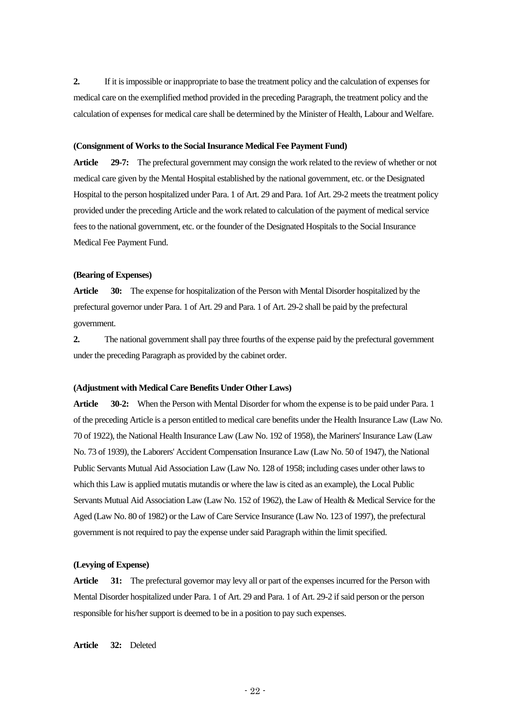**2.** If it is impossible or inappropriate to base the treatment policy and the calculation of expenses for medical care on the exemplified method provided in the preceding Paragraph, the treatment policy and the calculation of expenses for medical care shall be determined by the Minister of Health, Labour and Welfare.

#### **(Consignment of Works to the Social Insurance Medical Fee Payment Fund)**

**Article 29-7:** The prefectural government may consign the work related to the review of whether or not medical care given by the Mental Hospital established by the national government, etc. or the Designated Hospital to the person hospitalized under Para. 1 of Art. 29 and Para. 1of Art. 29-2 meets the treatment policy provided under the preceding Article and the work related to calculation of the payment of medical service fees to the national government, etc. or the founder of the Designated Hospitals to the Social Insurance Medical Fee Payment Fund.

#### **(Bearing of Expenses)**

**Article 30:** The expense for hospitalization of the Person with Mental Disorder hospitalized by the prefectural governor under Para. 1 of Art. 29 and Para. 1 of Art. 29-2 shall be paid by the prefectural government.

**2.** The national government shall pay three fourths of the expense paid by the prefectural government under the preceding Paragraph as provided by the cabinet order.

#### **(Adjustment with Medical Care Benefits Under Other Laws)**

**Article 30-2:** When the Person with Mental Disorder for whom the expense is to be paid under Para. 1 of the preceding Article is a person entitled to medical care benefits under the Health Insurance Law (Law No. 70 of 1922), the National Health Insurance Law (Law No. 192 of 1958), the Mariners' Insurance Law (Law No. 73 of 1939), the Laborers' Accident Compensation Insurance Law (Law No. 50 of 1947), the National Public Servants Mutual Aid Association Law (Law No. 128 of 1958; including cases under other laws to which this Law is applied mutatis mutandis or where the law is cited as an example), the Local Public Servants Mutual Aid Association Law (Law No. 152 of 1962), the Law of Health & Medical Service for the Aged (Law No. 80 of 1982) or the Law of Care Service Insurance (Law No. 123 of 1997), the prefectural government is not required to pay the expense under said Paragraph within the limit specified.

# **(Levying of Expense)**

**Article 31:** The prefectural governor may levy all or part of the expenses incurred for the Person with Mental Disorder hospitalized under Para. 1 of Art. 29 and Para. 1 of Art. 29-2 if said person or the person responsible for his/her support is deemed to be in a position to pay such expenses.

**Article 32:** Deleted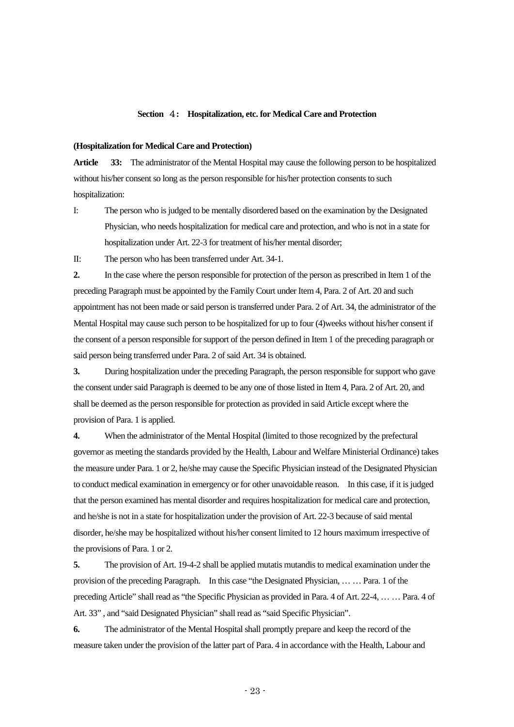# **Section** 4**: Hospitalization, etc. for Medical Care and Protection**

#### **(Hospitalization for Medical Care and Protection)**

**Article 33:** The administrator of the Mental Hospital may cause the following person to be hospitalized without his/her consent so long as the person responsible for his/her protection consents to such hospitalization:

I: The person who is judged to be mentally disordered based on the examination by the Designated Physician, who needs hospitalization for medical care and protection, and who is not in a state for hospitalization under Art. 22-3 for treatment of his/her mental disorder;

II: The person who has been transferred under Art. 34-1.

**2.** In the case where the person responsible for protection of the person as prescribed in Item 1 of the preceding Paragraph must be appointed by the Family Court under Item 4, Para. 2 of Art. 20 and such appointment has not been made or said person is transferred under Para. 2 of Art. 34, the administrator of the Mental Hospital may cause such person to be hospitalized for up to four (4)weeks without his/her consent if the consent of a person responsible for support of the person defined in Item 1 of the preceding paragraph or said person being transferred under Para. 2 of said Art. 34 is obtained.

**3.** During hospitalization under the preceding Paragraph, the person responsible for support who gave the consent under said Paragraph is deemed to be any one of those listed in Item 4, Para. 2 of Art. 20, and shall be deemed as the person responsible for protection as provided in said Article except where the provision of Para. 1 is applied.

**4.** When the administrator of the Mental Hospital (limited to those recognized by the prefectural governor as meeting the standards provided by the Health, Labour and Welfare Ministerial Ordinance) takes the measure under Para. 1 or 2, he/she may cause the Specific Physician instead of the Designated Physician to conduct medical examination in emergency or for other unavoidable reason. In this case, if it is judged that the person examined has mental disorder and requires hospitalization for medical care and protection, and he/she is not in a state for hospitalization under the provision of Art. 22-3 because of said mental disorder, he/she may be hospitalized without his/her consent limited to 12 hours maximum irrespective of the provisions of Para. 1 or 2.

**5.** The provision of Art. 19-4-2 shall be applied mutatis mutandis to medical examination under the provision of the preceding Paragraph. In this case "the Designated Physician, … … Para. 1 of the preceding Article" shall read as "the Specific Physician as provided in Para. 4 of Art. 22-4, … … Para. 4 of Art. 33" , and "said Designated Physician" shall read as "said Specific Physician".

**6.** The administrator of the Mental Hospital shall promptly prepare and keep the record of the measure taken under the provision of the latter part of Para. 4 in accordance with the Health, Labour and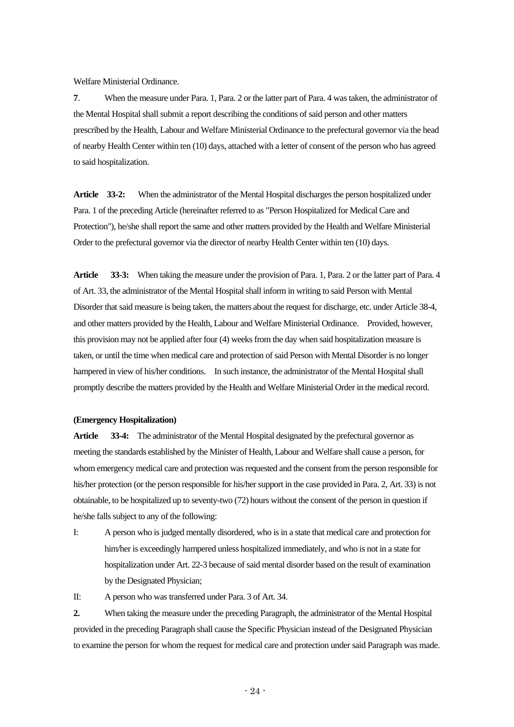Welfare Ministerial Ordinance.

**7**. When the measure under Para. 1, Para. 2 or the latter part of Para. 4 was taken, the administrator of the Mental Hospital shall submit a report describing the conditions of said person and other matters prescribed by the Health, Labour and Welfare Ministerial Ordinance to the prefectural governor via the head of nearby Health Center within ten (10) days, attached with a letter of consent of the person who has agreed to said hospitalization.

**Article 33-2:** When the administrator of the Mental Hospital discharges the person hospitalized under Para. 1 of the preceding Article (hereinafter referred to as "Person Hospitalized for Medical Care and Protection"), he/she shall report the same and other matters provided by the Health and Welfare Ministerial Order to the prefectural governor via the director of nearby Health Center within ten (10) days.

**Article 33-3:** When taking the measure under the provision of Para. 1, Para. 2 or the latter part of Para. 4 of Art. 33, the administrator of the Mental Hospital shall inform in writing to said Person with Mental Disorder that said measure is being taken, the matters about the request for discharge, etc. under Article 38-4, and other matters provided by the Health, Labour and Welfare Ministerial Ordinance. Provided, however, this provision may not be applied after four (4) weeks from the day when said hospitalization measure is taken, or until the time when medical care and protection of said Person with Mental Disorder is no longer hampered in view of his/her conditions. In such instance, the administrator of the Mental Hospital shall promptly describe the matters provided by the Health and Welfare Ministerial Order in the medical record.

# **(Emergency Hospitalization)**

**Article 33-4:** The administrator of the Mental Hospital designated by the prefectural governor as meeting the standards established by the Minister of Health, Labour and Welfare shall cause a person, for whom emergency medical care and protection was requested and the consent from the person responsible for his/her protection (or the person responsible for his/her support in the case provided in Para. 2, Art. 33) is not obtainable, to be hospitalized up to seventy-two (72) hours without the consent of the person in question if he/she falls subject to any of the following:

I: A person who is judged mentally disordered, who is in a state that medical care and protection for him/her is exceedingly hampered unless hospitalized immediately, and who is not in a state for hospitalization under Art. 22-3 because of said mental disorder based on the result of examination by the Designated Physician;

II: A person who was transferred under Para. 3 of Art. 34.

**2.** When taking the measure under the preceding Paragraph, the administrator of the Mental Hospital provided in the preceding Paragraph shall cause the Specific Physician instead of the Designated Physician to examine the person for whom the request for medical care and protection under said Paragraph was made.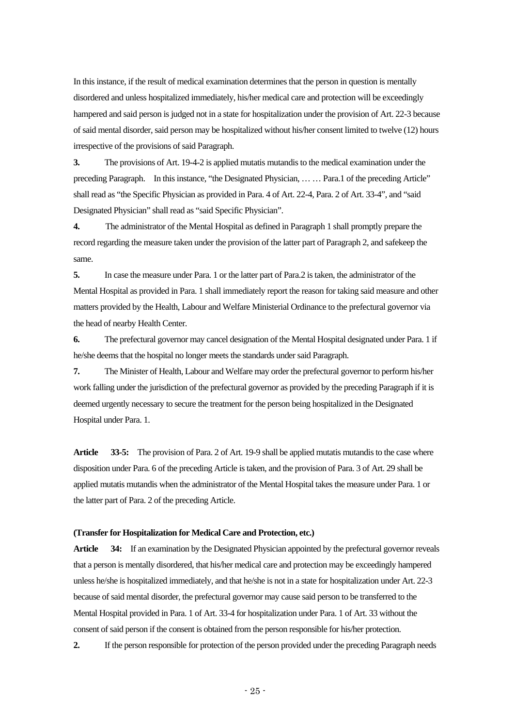In this instance, if the result of medical examination determines that the person in question is mentally disordered and unless hospitalized immediately, his/her medical care and protection will be exceedingly hampered and said person is judged not in a state for hospitalization under the provision of Art. 22-3 because of said mental disorder, said person may be hospitalized without his/her consent limited to twelve (12) hours irrespective of the provisions of said Paragraph.

**3.** The provisions of Art. 19-4-2 is applied mutatis mutandis to the medical examination under the preceding Paragraph. In this instance, "the Designated Physician, … … Para.1 of the preceding Article" shall read as "the Specific Physician as provided in Para. 4 of Art. 22-4, Para. 2 of Art. 33-4", and "said Designated Physician" shall read as "said Specific Physician".

**4.** The administrator of the Mental Hospital as defined in Paragraph 1 shall promptly prepare the record regarding the measure taken under the provision of the latter part of Paragraph 2, and safekeep the same.

**5.** In case the measure under Para. 1 or the latter part of Para.2 is taken, the administrator of the Mental Hospital as provided in Para. 1 shall immediately report the reason for taking said measure and other matters provided by the Health, Labour and Welfare Ministerial Ordinance to the prefectural governor via the head of nearby Health Center.

**6.** The prefectural governor may cancel designation of the Mental Hospital designated under Para. 1 if he/she deems that the hospital no longer meets the standards under said Paragraph.

**7.** The Minister of Health, Labour and Welfare may order the prefectural governor to perform his/her work falling under the jurisdiction of the prefectural governor as provided by the preceding Paragraph if it is deemed urgently necessary to secure the treatment for the person being hospitalized in the Designated Hospital under Para. 1.

**Article 33-5:** The provision of Para. 2 of Art. 19-9 shall be applied mutatis mutandis to the case where disposition under Para. 6 of the preceding Article is taken, and the provision of Para. 3 of Art. 29 shall be applied mutatis mutandis when the administrator of the Mental Hospital takes the measure under Para. 1 or the latter part of Para. 2 of the preceding Article.

#### **(Transfer for Hospitalization for Medical Care and Protection, etc.)**

**Article 34:** If an examination by the Designated Physician appointed by the prefectural governor reveals that a person is mentally disordered, that his/her medical care and protection may be exceedingly hampered unless he/she is hospitalized immediately, and that he/she is not in a state for hospitalization under Art. 22-3 because of said mental disorder, the prefectural governor may cause said person to be transferred to the Mental Hospital provided in Para. 1 of Art. 33-4 for hospitalization under Para. 1 of Art. 33 without the consent of said person if the consent is obtained from the person responsible for his/her protection.

**2.** If the person responsible for protection of the person provided under the preceding Paragraph needs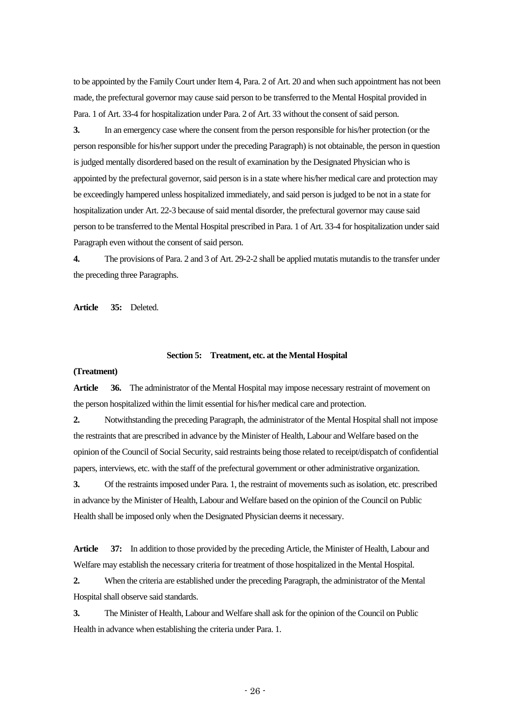to be appointed by the Family Court under Item 4, Para. 2 of Art. 20 and when such appointment has not been made, the prefectural governor may cause said person to be transferred to the Mental Hospital provided in Para. 1 of Art. 33-4 for hospitalization under Para. 2 of Art. 33 without the consent of said person.

**3.** In an emergency case where the consent from the person responsible for his/her protection (or the person responsible for his/her support under the preceding Paragraph) is not obtainable, the person in question is judged mentally disordered based on the result of examination by the Designated Physician who is appointed by the prefectural governor, said person is in a state where his/her medical care and protection may be exceedingly hampered unless hospitalized immediately, and said person is judged to be not in a state for hospitalization under Art. 22-3 because of said mental disorder, the prefectural governor may cause said person to be transferred to the Mental Hospital prescribed in Para. 1 of Art. 33-4 for hospitalization under said Paragraph even without the consent of said person.

**4.** The provisions of Para. 2 and 3 of Art. 29-2-2 shall be applied mutatis mutandis to the transfer under the preceding three Paragraphs.

**Article 35:** Deleted.

#### **Section 5: Treatment, etc. at the Mental Hospital**

## **(Treatment)**

**Article 36.** The administrator of the Mental Hospital may impose necessary restraint of movement on the person hospitalized within the limit essential for his/her medical care and protection.

**2.** Notwithstanding the preceding Paragraph, the administrator of the Mental Hospital shall not impose the restraints that are prescribed in advance by the Minister of Health, Labour and Welfare based on the opinion of the Council of Social Security, said restraints being those related to receipt/dispatch of confidential papers, interviews, etc. with the staff of the prefectural government or other administrative organization.

**3.** Of the restraints imposed under Para. 1, the restraint of movements such as isolation, etc. prescribed in advance by the Minister of Health, Labour and Welfare based on the opinion of the Council on Public Health shall be imposed only when the Designated Physician deems it necessary.

**Article 37:** In addition to those provided by the preceding Article, the Minister of Health, Labour and Welfare may establish the necessary criteria for treatment of those hospitalized in the Mental Hospital.

**2.** When the criteria are established under the preceding Paragraph, the administrator of the Mental Hospital shall observe said standards.

**3.** The Minister of Health, Labour and Welfare shall ask for the opinion of the Council on Public Health in advance when establishing the criteria under Para. 1.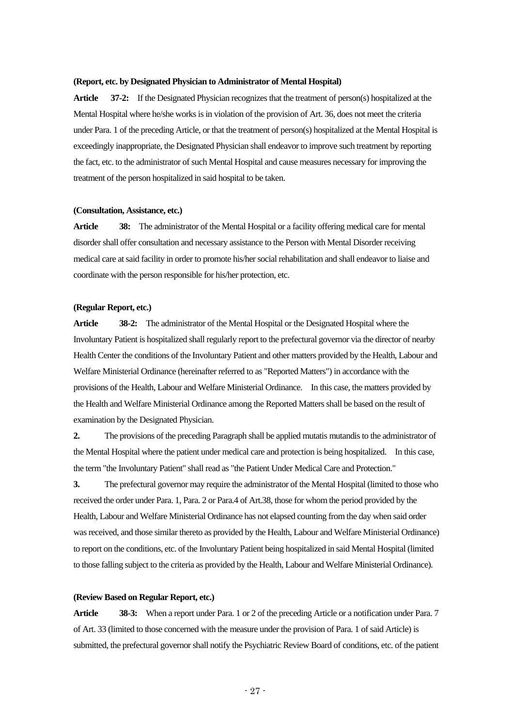#### **(Report, etc. by Designated Physician to Administrator of Mental Hospital)**

**Article 37-2:** If the Designated Physician recognizes that the treatment of person(s) hospitalized at the Mental Hospital where he/she works is in violation of the provision of Art. 36, does not meet the criteria under Para. 1 of the preceding Article, or that the treatment of person(s) hospitalized at the Mental Hospital is exceedingly inappropriate, the Designated Physician shall endeavor to improve such treatment by reporting the fact, etc. to the administrator of such Mental Hospital and cause measures necessary for improving the treatment of the person hospitalized in said hospital to be taken.

#### **(Consultation, Assistance, etc.)**

**Article 38:** The administrator of the Mental Hospital or a facility offering medical care for mental disorder shall offer consultation and necessary assistance to the Person with Mental Disorder receiving medical care at said facility in order to promote his/her social rehabilitation and shall endeavor to liaise and coordinate with the person responsible for his/her protection, etc.

# **(Regular Report, etc.)**

**Article 38-2:** The administrator of the Mental Hospital or the Designated Hospital where the Involuntary Patient is hospitalized shall regularly report to the prefectural governor via the director of nearby Health Center the conditions of the Involuntary Patient and other matters provided by the Health, Labour and Welfare Ministerial Ordinance (hereinafter referred to as "Reported Matters") in accordance with the provisions of the Health, Labour and Welfare Ministerial Ordinance. In this case, the matters provided by the Health and Welfare Ministerial Ordinance among the Reported Matters shall be based on the result of examination by the Designated Physician.

**2.** The provisions of the preceding Paragraph shall be applied mutatis mutandis to the administrator of the Mental Hospital where the patient under medical care and protection is being hospitalized. In this case, the term "the Involuntary Patient" shall read as "the Patient Under Medical Care and Protection."

**3.** The prefectural governor may require the administrator of the Mental Hospital (limited to those who received the order under Para. 1, Para. 2 or Para.4 of Art.38, those for whom the period provided by the Health, Labour and Welfare Ministerial Ordinance has not elapsed counting from the day when said order was received, and those similar thereto as provided by the Health, Labour and Welfare Ministerial Ordinance) to report on the conditions, etc. of the Involuntary Patient being hospitalized in said Mental Hospital (limited to those falling subject to the criteria as provided by the Health, Labour and Welfare Ministerial Ordinance).

#### **(Review Based on Regular Report, etc.)**

**Article 38-3:** When a report under Para. 1 or 2 of the preceding Article or a notification under Para. 7 of Art. 33 (limited to those concerned with the measure under the provision of Para. 1 of said Article) is submitted, the prefectural governor shall notify the Psychiatric Review Board of conditions, etc. of the patient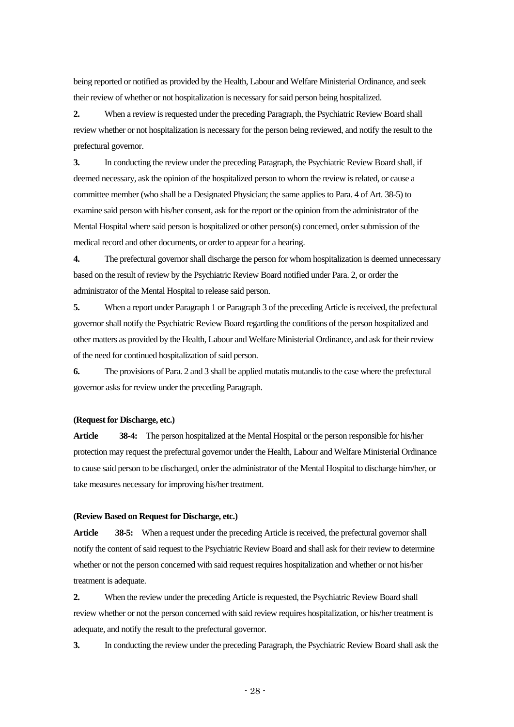being reported or notified as provided by the Health, Labour and Welfare Ministerial Ordinance, and seek their review of whether or not hospitalization is necessary for said person being hospitalized.

**2.** When a review is requested under the preceding Paragraph, the Psychiatric Review Board shall review whether or not hospitalization is necessary for the person being reviewed, and notify the result to the prefectural governor.

**3.** In conducting the review under the preceding Paragraph, the Psychiatric Review Board shall, if deemed necessary, ask the opinion of the hospitalized person to whom the review is related, or cause a committee member (who shall be a Designated Physician; the same applies to Para. 4 of Art. 38-5) to examine said person with his/her consent, ask for the report or the opinion from the administrator of the Mental Hospital where said person is hospitalized or other person(s) concerned, order submission of the medical record and other documents, or order to appear for a hearing.

**4.** The prefectural governor shall discharge the person for whom hospitalization is deemed unnecessary based on the result of review by the Psychiatric Review Board notified under Para. 2, or order the administrator of the Mental Hospital to release said person.

**5.** When a report under Paragraph 1 or Paragraph 3 of the preceding Article is received, the prefectural governor shall notify the Psychiatric Review Board regarding the conditions of the person hospitalized and other matters as provided by the Health, Labour and Welfare Ministerial Ordinance, and ask for their review of the need for continued hospitalization of said person.

**6.** The provisions of Para. 2 and 3 shall be applied mutatis mutandis to the case where the prefectural governor asks for review under the preceding Paragraph.

# **(Request for Discharge, etc.)**

**Article 38-4:** The person hospitalized at the Mental Hospital or the person responsible for his/her protection may request the prefectural governor under the Health, Labour and Welfare Ministerial Ordinance to cause said person to be discharged, order the administrator of the Mental Hospital to discharge him/her, or take measures necessary for improving his/her treatment.

#### **(Review Based on Request for Discharge, etc.)**

**Article 38-5:** When a request under the preceding Article is received, the prefectural governor shall notify the content of said request to the Psychiatric Review Board and shall ask for their review to determine whether or not the person concerned with said request requires hospitalization and whether or not his/her treatment is adequate.

**2.** When the review under the preceding Article is requested, the Psychiatric Review Board shall review whether or not the person concerned with said review requires hospitalization, or his/her treatment is adequate, and notify the result to the prefectural governor.

**3.** In conducting the review under the preceding Paragraph, the Psychiatric Review Board shall ask the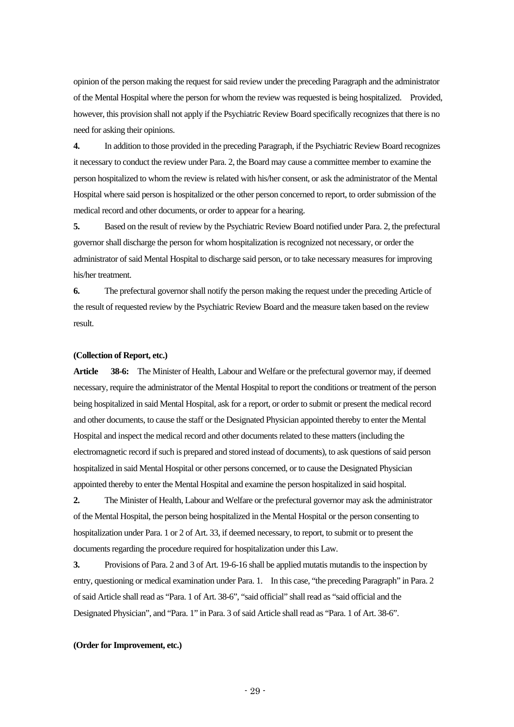opinion of the person making the request for said review under the preceding Paragraph and the administrator of the Mental Hospital where the person for whom the review was requested is being hospitalized. Provided, however, this provision shall not apply if the Psychiatric Review Board specifically recognizes that there is no need for asking their opinions.

**4.** In addition to those provided in the preceding Paragraph, if the Psychiatric Review Board recognizes it necessary to conduct the review under Para. 2, the Board may cause a committee member to examine the person hospitalized to whom the review is related with his/her consent, or ask the administrator of the Mental Hospital where said person is hospitalized or the other person concerned to report, to order submission of the medical record and other documents, or order to appear for a hearing.

**5.** Based on the result of review by the Psychiatric Review Board notified under Para. 2, the prefectural governor shall discharge the person for whom hospitalization is recognized not necessary, or order the administrator of said Mental Hospital to discharge said person, or to take necessary measures for improving his/her treatment.

**6.** The prefectural governor shall notify the person making the request under the preceding Article of the result of requested review by the Psychiatric Review Board and the measure taken based on the review result.

#### **(Collection of Report, etc.)**

**Article 38-6:** The Minister of Health, Labour and Welfare or the prefectural governor may, if deemed necessary, require the administrator of the Mental Hospital to report the conditions or treatment of the person being hospitalized in said Mental Hospital, ask for a report, or order to submit or present the medical record and other documents, to cause the staff or the Designated Physician appointed thereby to enter the Mental Hospital and inspect the medical record and other documents related to these matters (including the electromagnetic record if such is prepared and stored instead of documents), to ask questions of said person hospitalized in said Mental Hospital or other persons concerned, or to cause the Designated Physician appointed thereby to enter the Mental Hospital and examine the person hospitalized in said hospital.

**2.** The Minister of Health, Labour and Welfare or the prefectural governor may ask the administrator of the Mental Hospital, the person being hospitalized in the Mental Hospital or the person consenting to hospitalization under Para. 1 or 2 of Art. 33, if deemed necessary, to report, to submit or to present the documents regarding the procedure required for hospitalization under this Law.

**3.** Provisions of Para. 2 and 3 of Art. 19-6-16 shall be applied mutatis mutandis to the inspection by entry, questioning or medical examination under Para. 1. In this case, "the preceding Paragraph" in Para. 2 of said Article shall read as "Para. 1 of Art. 38-6", "said official" shall read as "said official and the Designated Physician", and "Para. 1" in Para. 3 of said Article shall read as "Para. 1 of Art. 38-6".

# **(Order for Improvement, etc.)**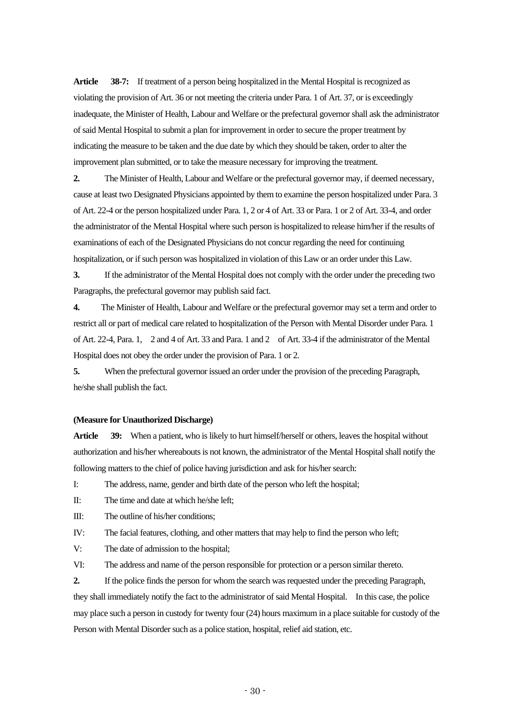**Article 38-7:** If treatment of a person being hospitalized in the Mental Hospital is recognized as violating the provision of Art. 36 or not meeting the criteria under Para. 1 of Art. 37, or is exceedingly inadequate, the Minister of Health, Labour and Welfare or the prefectural governor shall ask the administrator of said Mental Hospital to submit a plan for improvement in order to secure the proper treatment by indicating the measure to be taken and the due date by which they should be taken, order to alter the improvement plan submitted, or to take the measure necessary for improving the treatment.

**2.** The Minister of Health, Labour and Welfare or the prefectural governor may, if deemed necessary, cause at least two Designated Physicians appointed by them to examine the person hospitalized under Para. 3 of Art. 22-4 or the person hospitalized under Para. 1, 2 or 4 of Art. 33 or Para. 1 or 2 of Art. 33-4, and order the administrator of the Mental Hospital where such person is hospitalized to release him/her if the results of examinations of each of the Designated Physicians do not concur regarding the need for continuing hospitalization, or if such person was hospitalized in violation of this Law or an order under this Law.

**3.** If the administrator of the Mental Hospital does not comply with the order under the preceding two Paragraphs, the prefectural governor may publish said fact.

**4.** The Minister of Health, Labour and Welfare or the prefectural governor may set a term and order to restrict all or part of medical care related to hospitalization of the Person with Mental Disorder under Para. 1 of Art. 22-4, Para. 1, 2 and 4 of Art. 33 and Para. 1 and 2 of Art. 33-4 if the administrator of the Mental Hospital does not obey the order under the provision of Para. 1 or 2.

**5.** When the prefectural governor issued an order under the provision of the preceding Paragraph, he/she shall publish the fact.

## **(Measure for Unauthorized Discharge)**

**Article 39:** When a patient, who is likely to hurt himself/herself or others, leaves the hospital without authorization and his/her whereabouts is not known, the administrator of the Mental Hospital shall notify the following matters to the chief of police having jurisdiction and ask for his/her search:

I: The address, name, gender and birth date of the person who left the hospital;

II: The time and date at which he/she left;

III: The outline of his/her conditions;

IV: The facial features, clothing, and other matters that may help to find the person who left;

V: The date of admission to the hospital;

VI: The address and name of the person responsible for protection or a person similar thereto.

**2.** If the police finds the person for whom the search was requested under the preceding Paragraph, they shall immediately notify the fact to the administrator of said Mental Hospital. In this case, the police may place such a person in custody for twenty four (24) hours maximum in a place suitable for custody of the Person with Mental Disorder such as a police station, hospital, relief aid station, etc.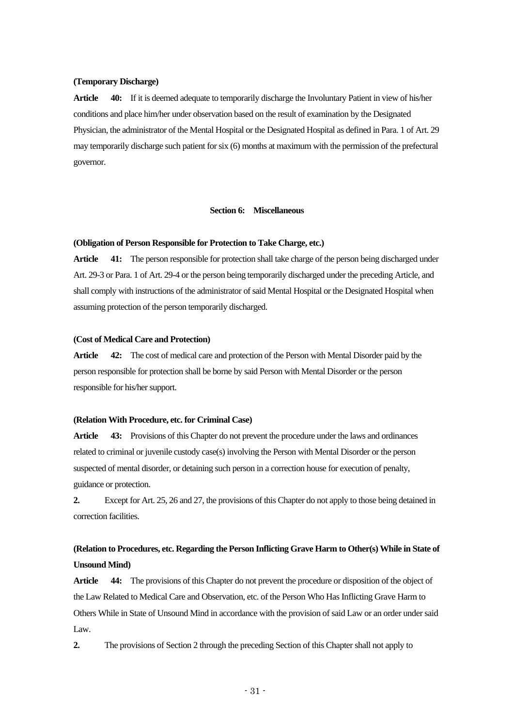# **(Temporary Discharge)**

**Article 40:** If it is deemed adequate to temporarily discharge the Involuntary Patient in view of his/her conditions and place him/her under observation based on the result of examination by the Designated Physician, the administrator of the Mental Hospital or the Designated Hospital as defined in Para. 1 of Art. 29 may temporarily discharge such patient for six (6) months at maximum with the permission of the prefectural governor.

#### **Section 6: Miscellaneous**

#### **(Obligation of Person Responsible for Protection to Take Charge, etc.)**

**Article 41:** The person responsible for protection shall take charge of the person being discharged under Art. 29-3 or Para. 1 of Art. 29-4 or the person being temporarily discharged under the preceding Article, and shall comply with instructions of the administrator of said Mental Hospital or the Designated Hospital when assuming protection of the person temporarily discharged.

# **(Cost of Medical Care and Protection)**

**Article 42:** The cost of medical care and protection of the Person with Mental Disorder paid by the person responsible for protection shall be borne by said Person with Mental Disorder or the person responsible for his/her support.

## **(Relation With Procedure, etc. for Criminal Case)**

**Article 43:** Provisions of this Chapter do not prevent the procedure under the laws and ordinances related to criminal or juvenile custody case(s) involving the Person with Mental Disorder or the person suspected of mental disorder, or detaining such person in a correction house for execution of penalty, guidance or protection.

**2.** Except for Art. 25, 26 and 27, the provisions of this Chapter do not apply to those being detained in correction facilities.

# **(Relation to Procedures, etc. Regarding the Person Inflicting Grave Harm to Other(s) While in State of Unsound Mind)**

**Article 44:** The provisions of this Chapter do not prevent the procedure or disposition of the object of the Law Related to Medical Care and Observation, etc. of the Person Who Has Inflicting Grave Harm to Others While in State of Unsound Mind in accordance with the provision of said Law or an order under said Law.

**2.** The provisions of Section 2 through the preceding Section of this Chapter shall not apply to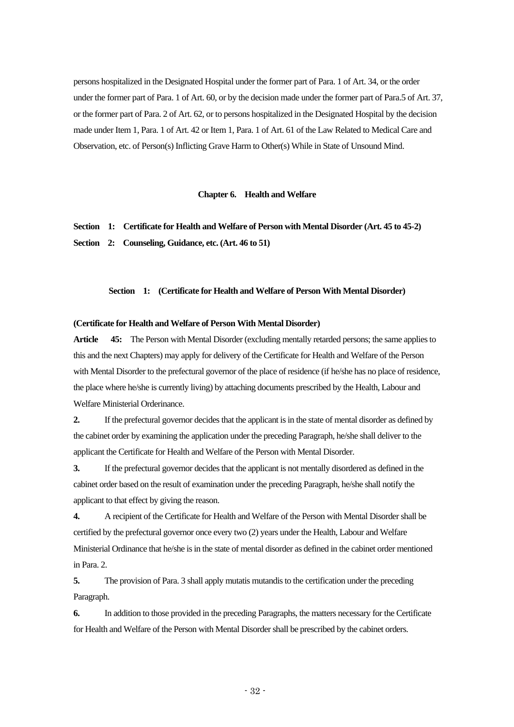persons hospitalized in the Designated Hospital under the former part of Para. 1 of Art. 34, or the order under the former part of Para. 1 of Art. 60, or by the decision made under the former part of Para.5 of Art. 37, or the former part of Para. 2 of Art. 62, or to persons hospitalized in the Designated Hospital by the decision made under Item 1, Para. 1 of Art. 42 or Item 1, Para. 1 of Art. 61 of the Law Related to Medical Care and Observation, etc. of Person(s) Inflicting Grave Harm to Other(s) While in State of Unsound Mind.

# **Chapter 6. Health and Welfare**

**Section 1: Certificate for Health and Welfare of Person with Mental Disorder (Art. 45 to 45-2) Section 2: Counseling, Guidance, etc. (Art. 46 to 51)** 

## **Section 1: (Certificate for Health and Welfare of Person With Mental Disorder)**

# **(Certificate for Health and Welfare of Person With Mental Disorder)**

**Article 45:** The Person with Mental Disorder (excluding mentally retarded persons; the same applies to this and the next Chapters) may apply for delivery of the Certificate for Health and Welfare of the Person with Mental Disorder to the prefectural governor of the place of residence (if he/she has no place of residence, the place where he/she is currently living) by attaching documents prescribed by the Health, Labour and Welfare Ministerial Orderinance.

**2.** If the prefectural governor decides that the applicant is in the state of mental disorder as defined by the cabinet order by examining the application under the preceding Paragraph, he/she shall deliver to the applicant the Certificate for Health and Welfare of the Person with Mental Disorder.

**3.** If the prefectural governor decides that the applicant is not mentally disordered as defined in the cabinet order based on the result of examination under the preceding Paragraph, he/she shall notify the applicant to that effect by giving the reason.

**4.** A recipient of the Certificate for Health and Welfare of the Person with Mental Disorder shall be certified by the prefectural governor once every two (2) years under the Health, Labour and Welfare Ministerial Ordinance that he/she is in the state of mental disorder as defined in the cabinet order mentioned in Para. 2.

**5.** The provision of Para. 3 shall apply mutatis mutandis to the certification under the preceding Paragraph.

**6.** In addition to those provided in the preceding Paragraphs, the matters necessary for the Certificate for Health and Welfare of the Person with Mental Disorder shall be prescribed by the cabinet orders.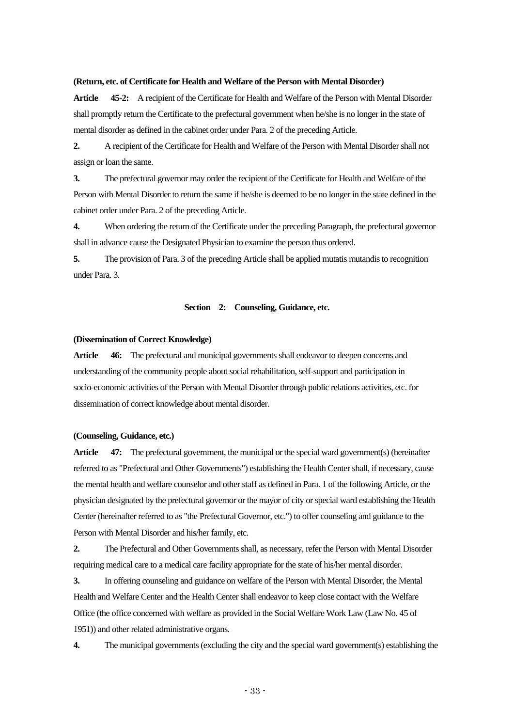## **(Return, etc. of Certificate for Health and Welfare of the Person with Mental Disorder)**

**Article 45-2:** A recipient of the Certificate for Health and Welfare of the Person with Mental Disorder shall promptly return the Certificate to the prefectural government when he/she is no longer in the state of mental disorder as defined in the cabinet order under Para. 2 of the preceding Article.

**2.** A recipient of the Certificate for Health and Welfare of the Person with Mental Disorder shall not assign or loan the same.

**3.** The prefectural governor may order the recipient of the Certificate for Health and Welfare of the Person with Mental Disorder to return the same if he/she is deemed to be no longer in the state defined in the cabinet order under Para. 2 of the preceding Article.

**4.** When ordering the return of the Certificate under the preceding Paragraph, the prefectural governor shall in advance cause the Designated Physician to examine the person thus ordered.

**5.** The provision of Para. 3 of the preceding Article shall be applied mutatis mutandis to recognition under Para. 3.

# **Section 2: Counseling, Guidance, etc.**

#### **(Dissemination of Correct Knowledge)**

Article 46: The prefectural and municipal governments shall endeavor to deepen concerns and understanding of the community people about social rehabilitation, self-support and participation in socio-economic activities of the Person with Mental Disorder through public relations activities, etc. for dissemination of correct knowledge about mental disorder.

#### **(Counseling, Guidance, etc.)**

**Article 47:** The prefectural government, the municipal or the special ward government(s) (hereinafter referred to as "Prefectural and Other Governments") establishing the Health Center shall, if necessary, cause the mental health and welfare counselor and other staff as defined in Para. 1 of the following Article, or the physician designated by the prefectural governor or the mayor of city or special ward establishing the Health Center (hereinafter referred to as "the Prefectural Governor, etc.") to offer counseling and guidance to the Person with Mental Disorder and his/her family, etc.

**2.** The Prefectural and Other Governments shall, as necessary, refer the Person with Mental Disorder requiring medical care to a medical care facility appropriate for the state of his/her mental disorder.

**3.** In offering counseling and guidance on welfare of the Person with Mental Disorder, the Mental Health and Welfare Center and the Health Center shall endeavor to keep close contact with the Welfare Office (the office concerned with welfare as provided in the Social Welfare Work Law (Law No. 45 of 1951)) and other related administrative organs.

**4.** The municipal governments (excluding the city and the special ward government(s) establishing the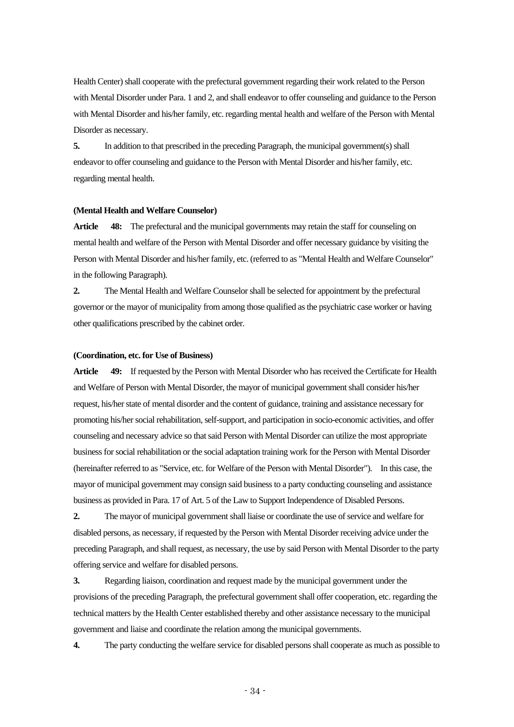Health Center) shall cooperate with the prefectural government regarding their work related to the Person with Mental Disorder under Para. 1 and 2, and shall endeavor to offer counseling and guidance to the Person with Mental Disorder and his/her family, etc. regarding mental health and welfare of the Person with Mental Disorder as necessary.

**5.** In addition to that prescribed in the preceding Paragraph, the municipal government(s) shall endeavor to offer counseling and guidance to the Person with Mental Disorder and his/her family, etc. regarding mental health.

#### **(Mental Health and Welfare Counselor)**

**Article 48:** The prefectural and the municipal governments may retain the staff for counseling on mental health and welfare of the Person with Mental Disorder and offer necessary guidance by visiting the Person with Mental Disorder and his/her family, etc. (referred to as "Mental Health and Welfare Counselor" in the following Paragraph).

**2.** The Mental Health and Welfare Counselor shall be selected for appointment by the prefectural governor or the mayor of municipality from among those qualified as the psychiatric case worker or having other qualifications prescribed by the cabinet order.

#### **(Coordination, etc. for Use of Business)**

**Article 49:** If requested by the Person with Mental Disorder who has received the Certificate for Health and Welfare of Person with Mental Disorder, the mayor of municipal government shall consider his/her request, his/her state of mental disorder and the content of guidance, training and assistance necessary for promoting his/her social rehabilitation, self-support, and participation in socio-economic activities, and offer counseling and necessary advice so that said Person with Mental Disorder can utilize the most appropriate business for social rehabilitation or the social adaptation training work for the Person with Mental Disorder (hereinafter referred to as "Service, etc. for Welfare of the Person with Mental Disorder"). In this case, the mayor of municipal government may consign said business to a party conducting counseling and assistance business as provided in Para. 17 of Art. 5 of the Law to Support Independence of Disabled Persons.

**2.** The mayor of municipal government shall liaise or coordinate the use of service and welfare for disabled persons, as necessary, if requested by the Person with Mental Disorder receiving advice under the preceding Paragraph, and shall request, as necessary, the use by said Person with Mental Disorder to the party offering service and welfare for disabled persons.

**3.** Regarding liaison, coordination and request made by the municipal government under the provisions of the preceding Paragraph, the prefectural government shall offer cooperation, etc. regarding the technical matters by the Health Center established thereby and other assistance necessary to the municipal government and liaise and coordinate the relation among the municipal governments.

**4.** The party conducting the welfare service for disabled persons shall cooperate as much as possible to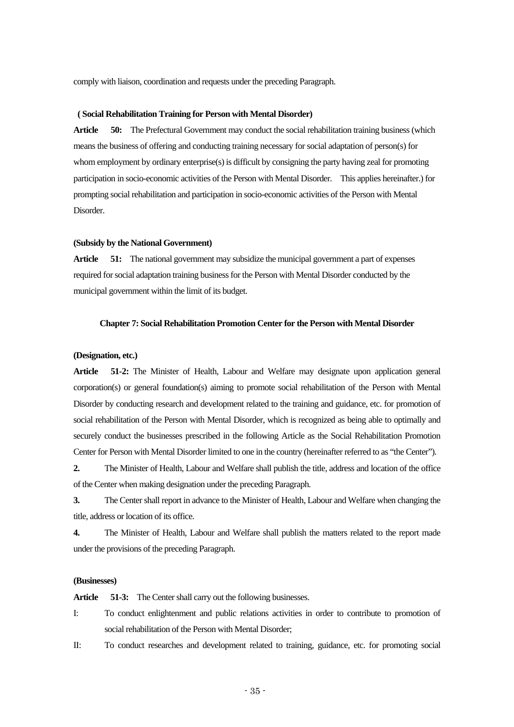comply with liaison, coordination and requests under the preceding Paragraph.

# **( Social Rehabilitation Training for Person with Mental Disorder)**

**Article 50:** The Prefectural Government may conduct the social rehabilitation training business (which means the business of offering and conducting training necessary for social adaptation of person(s) for whom employment by ordinary enterprise(s) is difficult by consigning the party having zeal for promoting participation in socio-economic activities of the Person with Mental Disorder. This applies hereinafter.) for prompting social rehabilitation and participation in socio-economic activities of the Person with Mental Disorder.

# **(Subsidy by the National Government)**

**Article 51:** The national government may subsidize the municipal government a part of expenses required for social adaptation training business for the Person with Mental Disorder conducted by the municipal government within the limit of its budget.

# **Chapter 7: Social Rehabilitation Promotion Center for the Person with Mental Disorder**

# **(Designation, etc.)**

**Article 51-2:** The Minister of Health, Labour and Welfare may designate upon application general corporation(s) or general foundation(s) aiming to promote social rehabilitation of the Person with Mental Disorder by conducting research and development related to the training and guidance, etc. for promotion of social rehabilitation of the Person with Mental Disorder, which is recognized as being able to optimally and securely conduct the businesses prescribed in the following Article as the Social Rehabilitation Promotion Center for Person with Mental Disorder limited to one in the country (hereinafter referred to as "the Center").

**2.** The Minister of Health, Labour and Welfare shall publish the title, address and location of the office of the Center when making designation under the preceding Paragraph.

**3.** The Center shall report in advance to the Minister of Health, Labour and Welfare when changing the title, address or location of its office.

**4.** The Minister of Health, Labour and Welfare shall publish the matters related to the report made under the provisions of the preceding Paragraph.

## **(Businesses)**

Article 51-3: The Center shall carry out the following businesses.

- I: To conduct enlightenment and public relations activities in order to contribute to promotion of social rehabilitation of the Person with Mental Disorder;
- II: To conduct researches and development related to training, guidance, etc. for promoting social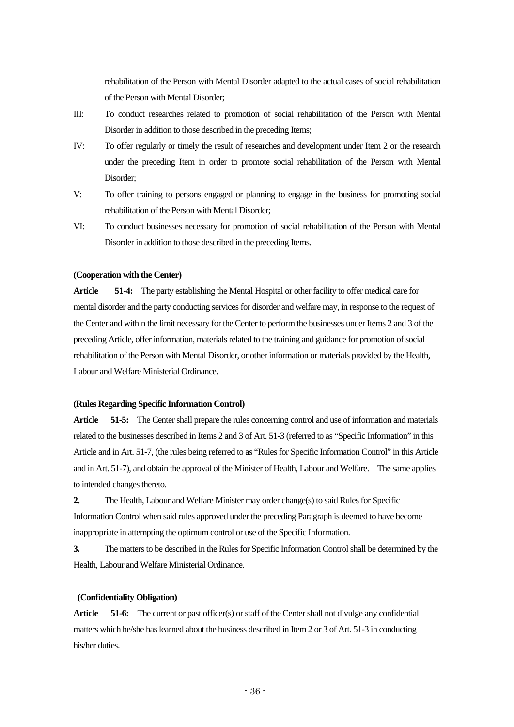rehabilitation of the Person with Mental Disorder adapted to the actual cases of social rehabilitation of the Person with Mental Disorder;

- III: To conduct researches related to promotion of social rehabilitation of the Person with Mental Disorder in addition to those described in the preceding Items;
- IV: To offer regularly or timely the result of researches and development under Item 2 or the research under the preceding Item in order to promote social rehabilitation of the Person with Mental Disorder;
- V: To offer training to persons engaged or planning to engage in the business for promoting social rehabilitation of the Person with Mental Disorder;
- VI: To conduct businesses necessary for promotion of social rehabilitation of the Person with Mental Disorder in addition to those described in the preceding Items.

# **(Cooperation with the Center)**

**Article 51-4:** The party establishing the Mental Hospital or other facility to offer medical care for mental disorder and the party conducting services for disorder and welfare may, in response to the request of the Center and within the limit necessary for the Center to perform the businesses under Items 2 and 3 of the preceding Article, offer information, materials related to the training and guidance for promotion of social rehabilitation of the Person with Mental Disorder, or other information or materials provided by the Health, Labour and Welfare Ministerial Ordinance.

#### **(Rules Regarding Specific Information Control)**

**Article 51-5:** The Center shall prepare the rules concerning control and use of information and materials related to the businesses described in Items 2 and 3 of Art. 51-3 (referred to as "Specific Information" in this Article and in Art. 51-7, (the rules being referred to as "Rules for Specific Information Control" in this Article and in Art. 51-7), and obtain the approval of the Minister of Health, Labour and Welfare. The same applies to intended changes thereto.

**2.** The Health, Labour and Welfare Minister may order change(s) to said Rules for Specific Information Control when said rules approved under the preceding Paragraph is deemed to have become inappropriate in attempting the optimum control or use of the Specific Information.

**3.** The matters to be described in the Rules for Specific Information Control shall be determined by the Health, Labour and Welfare Ministerial Ordinance.

#### **(Confidentiality Obligation)**

**Article 51-6:** The current or past officer(s) or staff of the Center shall not divulge any confidential matters which he/she has learned about the business described in Item 2 or 3 of Art. 51-3 in conducting his/her duties.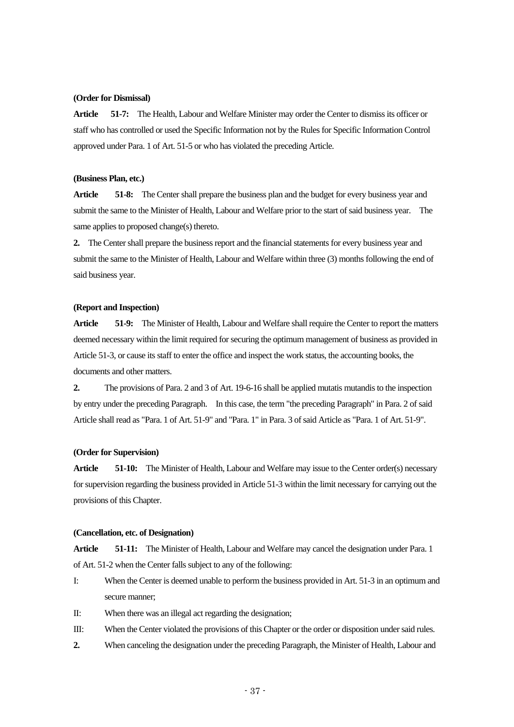#### **(Order for Dismissal)**

**Article 51-7:** The Health, Labour and Welfare Minister may order the Center to dismiss its officer or staff who has controlled or used the Specific Information not by the Rules for Specific Information Control approved under Para. 1 of Art. 51-5 or who has violated the preceding Article.

#### **(Business Plan, etc.)**

**Article 51-8:** The Center shall prepare the business plan and the budget for every business year and submit the same to the Minister of Health, Labour and Welfare prior to the start of said business year. The same applies to proposed change(s) thereto.

**2.** The Center shall prepare the business report and the financial statements for every business year and submit the same to the Minister of Health, Labour and Welfare within three (3) months following the end of said business year.

# **(Report and Inspection)**

**Article 51-9:** The Minister of Health, Labour and Welfare shall require the Center to report the matters deemed necessary within the limit required for securing the optimum management of business as provided in Article 51-3, or cause its staff to enter the office and inspect the work status, the accounting books, the documents and other matters.

**2.** The provisions of Para. 2 and 3 of Art. 19-6-16 shall be applied mutatis mutandis to the inspection by entry under the preceding Paragraph. In this case, the term "the preceding Paragraph" in Para. 2 of said Article shall read as "Para. 1 of Art. 51-9" and "Para. 1" in Para. 3 of said Article as "Para. 1 of Art. 51-9".

# **(Order for Supervision)**

**Article 51-10:** The Minister of Health, Labour and Welfare may issue to the Center order(s) necessary for supervision regarding the business provided in Article 51-3 within the limit necessary for carrying out the provisions of this Chapter.

#### **(Cancellation, etc. of Designation)**

**Article 51-11:** The Minister of Health, Labour and Welfare may cancel the designation under Para. 1 of Art. 51-2 when the Center falls subject to any of the following:

- I: When the Center is deemed unable to perform the business provided in Art. 51-3 in an optimum and secure manner;
- II: When there was an illegal act regarding the designation;
- III: When the Center violated the provisions of this Chapter or the order or disposition under said rules.
- **2.** When canceling the designation under the preceding Paragraph, the Minister of Health, Labour and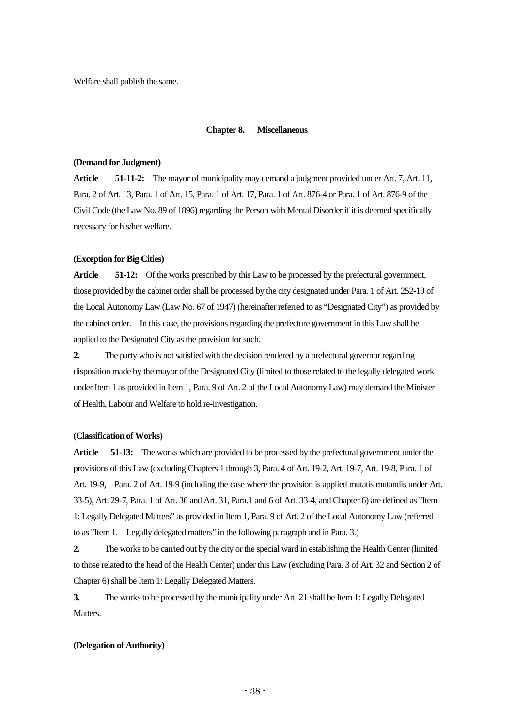Welfare shall publish the same.

#### **Chapter 8. Miscellaneous**

#### **(Demand for Judgment)**

**Article 51-11-2:** The mayor of municipality may demand a judgment provided under Art. 7, Art. 11, Para. 2 of Art. 13, Para. 1 of Art. 15, Para. 1 of Art. 17, Para. 1 of Art. 876-4 or Para. 1 of Art. 876-9 of the Civil Code (the Law No. 89 of 1896) regarding the Person with Mental Disorder if it is deemed specifically necessary for his/her welfare.

# **(Exception for Big Cities)**

**Article 51-12:** Of the works prescribed by this Law to be processed by the prefectural government, those provided by the cabinet order shall be processed by the city designated under Para. 1 of Art. 252-19 of the Local Autonomy Law (Law No. 67 of 1947) (hereinafter referred to as "Designated City") as provided by the cabinet order. In this case, the provisions regarding the prefecture government in this Law shall be applied to the Designated City as the provision for such.

**2.** The party who is not satisfied with the decision rendered by a prefectural governor regarding disposition made by the mayor of the Designated City (limited to those related to the legally delegated work under Item 1 as provided in Item 1, Para. 9 of Art. 2 of the Local Autonomy Law) may demand the Minister of Health, Labour and Welfare to hold re-investigation.

#### **(Classification of Works)**

**Article 51-13:** The works which are provided to be processed by the prefectural government under the provisions of this Law (excluding Chapters 1 through 3, Para. 4 of Art. 19-2, Art. 19-7, Art. 19-8, Para. 1 of Art. 19-9, Para. 2 of Art. 19-9 (including the case where the provision is applied mutatis mutandis under Art. 33-5), Art. 29-7, Para. 1 of Art. 30 and Art. 31, Para.1 and 6 of Art. 33-4, and Chapter 6) are defined as "Item 1: Legally Delegated Matters" as provided in Item 1, Para. 9 of Art. 2 of the Local Autonomy Law (referred to as "Item 1. Legally delegated matters" in the following paragraph and in Para. 3.)

**2.** The works to be carried out by the city or the special ward in establishing the Health Center (limited to those related to the head of the Health Center) under this Law (excluding Para. 3 of Art. 32 and Section 2 of Chapter 6) shall be Item 1: Legally Delegated Matters.

**3.** The works to be processed by the municipality under Art. 21 shall be Item 1: Legally Delegated Matters.

# **(Delegation of Authority)**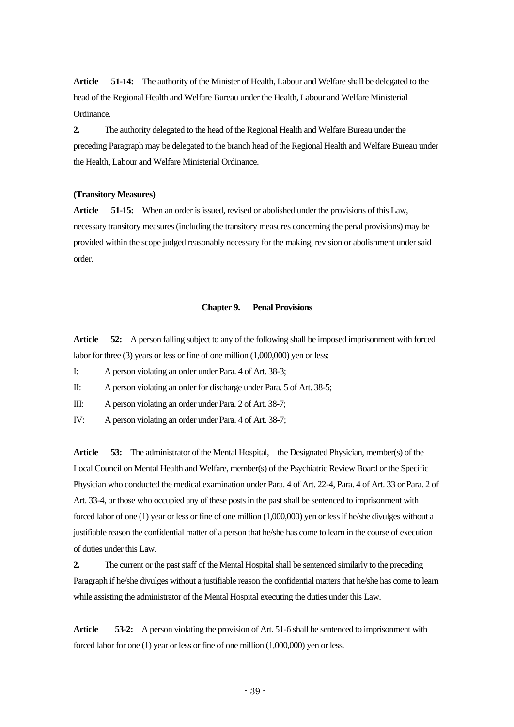**Article 51-14:** The authority of the Minister of Health, Labour and Welfare shall be delegated to the head of the Regional Health and Welfare Bureau under the Health, Labour and Welfare Ministerial Ordinance.

**2.** The authority delegated to the head of the Regional Health and Welfare Bureau under the preceding Paragraph may be delegated to the branch head of the Regional Health and Welfare Bureau under the Health, Labour and Welfare Ministerial Ordinance.

# **(Transitory Measures)**

**Article 51-15:** When an order is issued, revised or abolished under the provisions of this Law, necessary transitory measures (including the transitory measures concerning the penal provisions) may be provided within the scope judged reasonably necessary for the making, revision or abolishment under said order.

## **Chapter 9. Penal Provisions**

**Article 52:** A person falling subject to any of the following shall be imposed imprisonment with forced labor for three (3) years or less or fine of one million (1,000,000) yen or less:

- I: A person violating an order under Para. 4 of Art. 38-3;
- II: A person violating an order for discharge under Para. 5 of Art. 38-5;
- III: A person violating an order under Para. 2 of Art. 38-7;
- IV: A person violating an order under Para. 4 of Art. 38-7;

**Article 53:** The administrator of the Mental Hospital, the Designated Physician, member(s) of the Local Council on Mental Health and Welfare, member(s) of the Psychiatric Review Board or the Specific Physician who conducted the medical examination under Para. 4 of Art. 22-4, Para. 4 of Art. 33 or Para. 2 of Art. 33-4, or those who occupied any of these posts in the past shall be sentenced to imprisonment with forced labor of one (1) year or less or fine of one million (1,000,000) yen or less if he/she divulges without a justifiable reason the confidential matter of a person that he/she has come to learn in the course of execution of duties under this Law.

**2.** The current or the past staff of the Mental Hospital shall be sentenced similarly to the preceding Paragraph if he/she divulges without a justifiable reason the confidential matters that he/she has come to learn while assisting the administrator of the Mental Hospital executing the duties under this Law.

**Article 53-2:** A person violating the provision of Art. 51-6 shall be sentenced to imprisonment with forced labor for one (1) year or less or fine of one million (1,000,000) yen or less.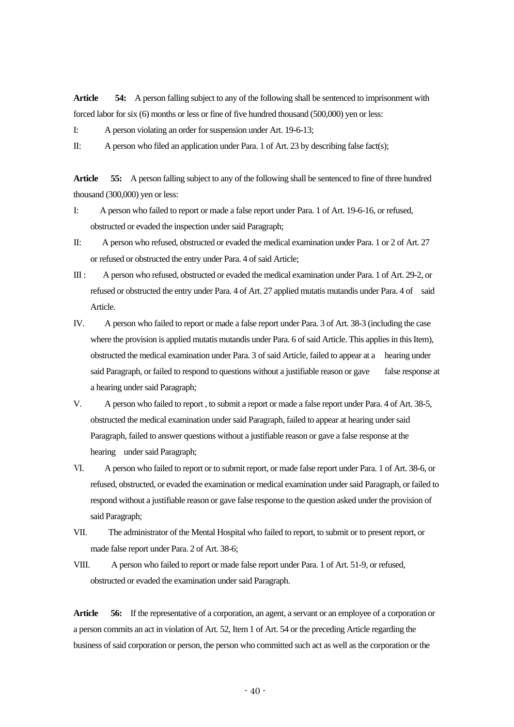**Article 54:** A person falling subject to any of the following shall be sentenced to imprisonment with forced labor for six (6) months or less or fine of five hundred thousand (500,000) yen or less:

I: A person violating an order for suspension under Art. 19-6-13;

II: A person who filed an application under Para. 1 of Art. 23 by describing false fact(s);

**Article 55:** A person falling subject to any of the following shall be sentenced to fine of three hundred thousand (300,000) yen or less:

- I: A person who failed to report or made a false report under Para. 1 of Art. 19-6-16, or refused, obstructed or evaded the inspection under said Paragraph;
- II: A person who refused, obstructed or evaded the medical examination under Para. 1 or 2 of Art. 27 or refused or obstructed the entry under Para. 4 of said Article;
- III : A person who refused, obstructed or evaded the medical examination under Para. 1 of Art. 29-2, or refused or obstructed the entry under Para. 4 of Art. 27 applied mutatis mutandis under Para. 4 of said Article.
- IV. A person who failed to report or made a false report under Para. 3 of Art. 38-3 (including the case where the provision is applied mutatis mutandis under Para. 6 of said Article. This applies in this Item), obstructed the medical examination under Para. 3 of said Article, failed to appear at a hearing under said Paragraph, or failed to respond to questions without a justifiable reason or gave false response at a hearing under said Paragraph;
- V. A person who failed to report , to submit a report or made a false report under Para. 4 of Art. 38-5, obstructed the medical examination under said Paragraph, failed to appear at hearing under said Paragraph, failed to answer questions without a justifiable reason or gave a false response at the hearing under said Paragraph;
- Ⅵ. A person who failed to report or to submit report, or made false report under Para. 1 of Art. 38-6, or refused, obstructed, or evaded the examination or medical examination under said Paragraph, or failed to respond without a justifiable reason or gave false response to the question asked under the provision of said Paragraph;
- VII. The administrator of the Mental Hospital who failed to report, to submit or to present report, or made false report under Para. 2 of Art. 38-6;
- VIII. A person who failed to report or made false report under Para. 1 of Art. 51-9, or refused, obstructed or evaded the examination under said Paragraph.

**Article 56:** If the representative of a corporation, an agent, a servant or an employee of a corporation or a person commits an act in violation of Art. 52, Item 1 of Art. 54 or the preceding Article regarding the business of said corporation or person, the person who committed such act as well as the corporation or the